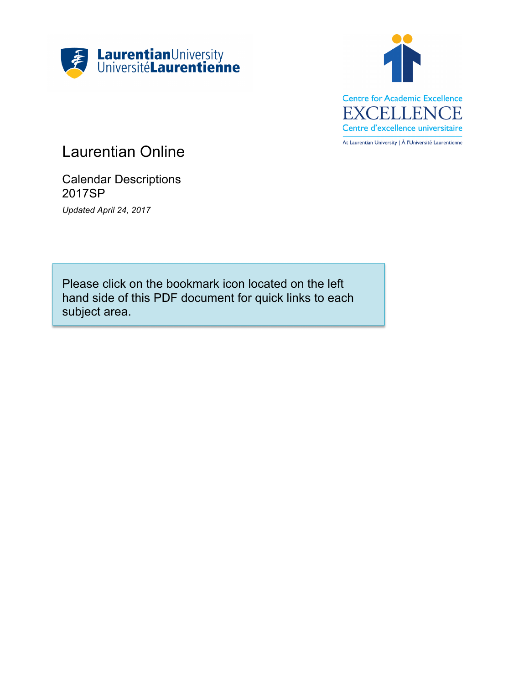



# Laurentian Online

Calendar Descriptions 2017SP *Updated April 24, 2017*

Please click on the bookmark icon located on the left hand side of this PDF document for quick links to each subject area.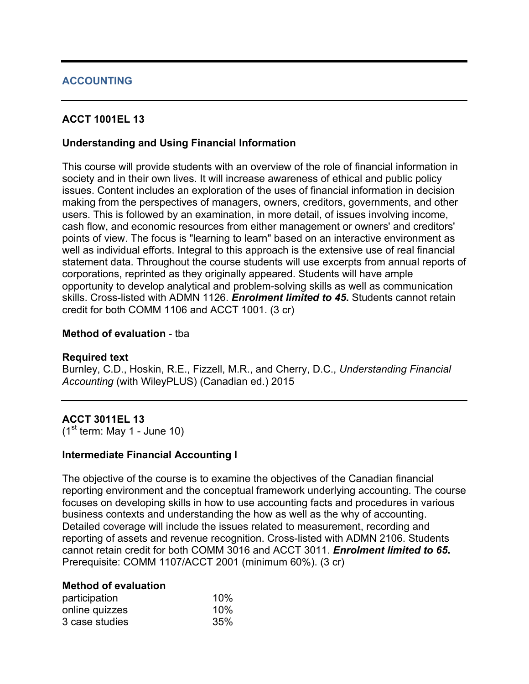# **ACCOUNTING**

# **ACCT 1001EL 13**

# **Understanding and Using Financial Information**

This course will provide students with an overview of the role of financial information in society and in their own lives. It will increase awareness of ethical and public policy issues. Content includes an exploration of the uses of financial information in decision making from the perspectives of managers, owners, creditors, governments, and other users. This is followed by an examination, in more detail, of issues involving income, cash flow, and economic resources from either management or owners' and creditors' points of view. The focus is "learning to learn" based on an interactive environment as well as individual efforts. Integral to this approach is the extensive use of real financial statement data. Throughout the course students will use excerpts from annual reports of corporations, reprinted as they originally appeared. Students will have ample opportunity to develop analytical and problem-solving skills as well as communication skills. Cross-listed with ADMN 1126. *Enrolment limited to 45***.** Students cannot retain credit for both COMM 1106 and ACCT 1001. (3 cr)

#### **Method of evaluation** - tba

#### **Required text**

Burnley, C.D., Hoskin, R.E., Fizzell, M.R., and Cherry, D.C., *Understanding Financial Accounting* (with WileyPLUS) (Canadian ed.) 2015

# **ACCT 3011EL 13**

 $(1<sup>st</sup>$  term: May 1 - June 10)

#### **Intermediate Financial Accounting I**

The objective of the course is to examine the objectives of the Canadian financial reporting environment and the conceptual framework underlying accounting. The course focuses on developing skills in how to use accounting facts and procedures in various business contexts and understanding the how as well as the why of accounting. Detailed coverage will include the issues related to measurement, recording and reporting of assets and revenue recognition. Cross-listed with ADMN 2106. Students cannot retain credit for both COMM 3016 and ACCT 3011. *Enrolment limited to 65***.**  Prerequisite: COMM 1107/ACCT 2001 (minimum 60%). (3 cr)

#### **Method of evaluation**

| participation  | 10% |
|----------------|-----|
| online quizzes | 10% |
| 3 case studies | 35% |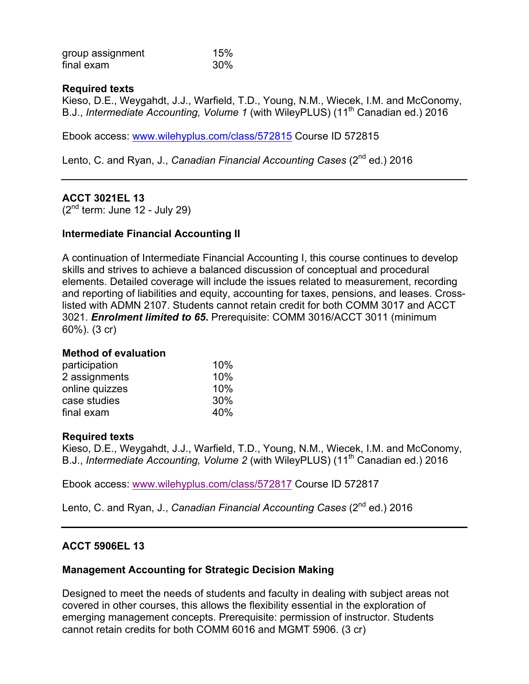| group assignment | 15% |
|------------------|-----|
| final exam       | 30% |

### **Required texts**

Kieso, D.E., Weygahdt, J.J., Warfield, T.D., Young, N.M., Wiecek, I.M. and McConomy, B.J., *Intermediate Accounting, Volume 1* (with WileyPLUS) (11<sup>th</sup> Canadian ed.) 2016

Ebook access: www.wilehyplus.com/class/572815 Course ID 572815

Lento, C. and Ryan, J., *Canadian Financial Accounting Cases* (2<sup>nd</sup> ed.) 2016

# **ACCT 3021EL 13**

 $(2<sup>nd</sup>$  term: June 12 - July 29)

### **Intermediate Financial Accounting II**

A continuation of Intermediate Financial Accounting I, this course continues to develop skills and strives to achieve a balanced discussion of conceptual and procedural elements. Detailed coverage will include the issues related to measurement, recording and reporting of liabilities and equity, accounting for taxes, pensions, and leases. Crosslisted with ADMN 2107. Students cannot retain credit for both COMM 3017 and ACCT 3021. *Enrolment limited to 65***.** Prerequisite: COMM 3016/ACCT 3011 (minimum 60%). (3 cr)

#### **Method of evaluation**

| 10% |
|-----|
| 10% |
| 10% |
| 30% |
| 40% |
|     |

#### **Required texts**

Kieso, D.E., Weygahdt, J.J., Warfield, T.D., Young, N.M., Wiecek, I.M. and McConomy, B.J., *Intermediate Accounting, Volume 2* (with WileyPLUS) (11<sup>th</sup> Canadian ed.) 2016

Ebook access: www.wilehyplus.com/class/572817 Course ID 572817

Lento, C. and Ryan, J., *Canadian Financial Accounting Cases* (2<sup>nd</sup> ed.) 2016

#### **ACCT 5906EL 13**

#### **Management Accounting for Strategic Decision Making**

Designed to meet the needs of students and faculty in dealing with subject areas not covered in other courses, this allows the flexibility essential in the exploration of emerging management concepts. Prerequisite: permission of instructor. Students cannot retain credits for both COMM 6016 and MGMT 5906. (3 cr)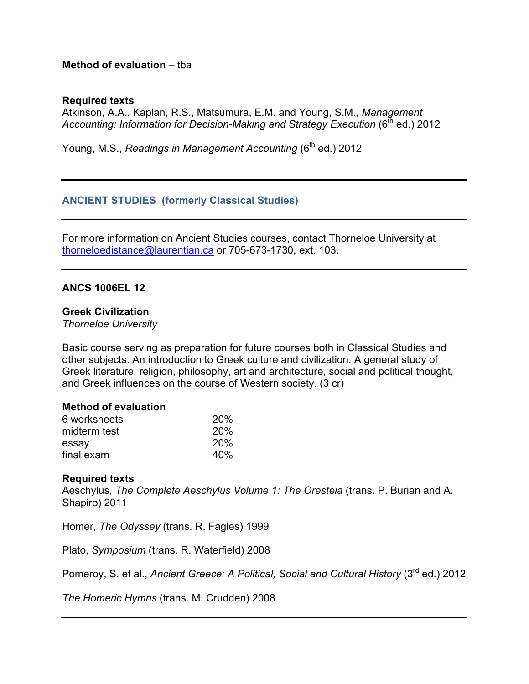### **Method of evaluation** – tba

#### **Required texts**

Atkinson, A.A., Kaplan, R.S., Matsumura, E.M. and Young, S.M., *Management*  Accounting: Information for Decision-Making and Strategy Execution (6<sup>th</sup> ed.) 2012

Young, M.S., *Readings in Management Accounting* (6<sup>th</sup> ed.) 2012

### **ANCIENT STUDIES (formerly Classical Studies)**

For more information on Ancient Studies courses, contact Thorneloe University at thorneloedistance@laurentian.ca or 705-673-1730, ext. 103.

#### **ANCS 1006EL 12**

# **Greek Civilization**

*Thorneloe University*

Basic course serving as preparation for future courses both in Classical Studies and other subjects. An introduction to Greek culture and civilization. A general study of Greek literature, religion, philosophy, art and architecture, social and political thought, and Greek influences on the course of Western society. (3 cr)

#### **Method of evaluation**

| 6 worksheets | 20%        |
|--------------|------------|
| midterm test | <b>20%</b> |
| essay        | <b>20%</b> |
| final exam   | 40%        |

#### **Required texts**

Aeschylus, *The Complete Aeschylus Volume 1: The Oresteia* (trans. P. Burian and A. Shapiro) 2011

Homer, *The Odyssey* (trans. R. Fagles) 1999

Plato, *Symposium* (trans. R. Waterfield) 2008

Pomeroy, S. et al., *Ancient Greece: A Political, Social and Cultural History* (3<sup>rd</sup> ed.) 2012

*The Homeric Hymns* (trans. M. Crudden) 2008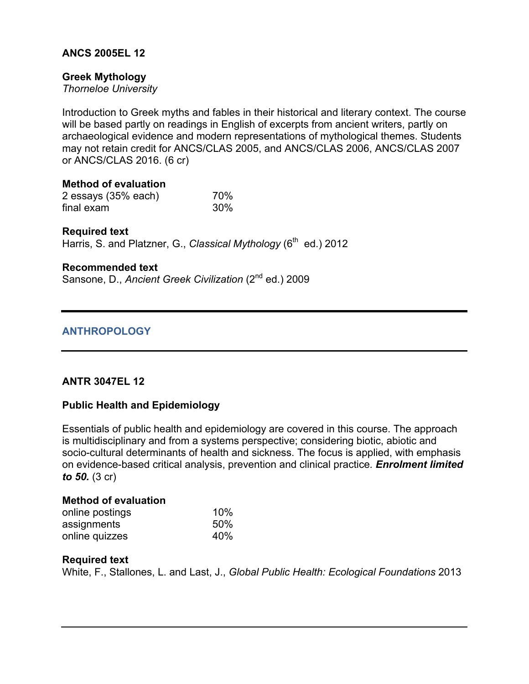# **ANCS 2005EL 12**

# **Greek Mythology**

*Thorneloe University*

Introduction to Greek myths and fables in their historical and literary context. The course will be based partly on readings in English of excerpts from ancient writers, partly on archaeological evidence and modern representations of mythological themes. Students may not retain credit for ANCS/CLAS 2005, and ANCS/CLAS 2006, ANCS/CLAS 2007 or ANCS/CLAS 2016. (6 cr)

**Method of evaluation** 2 essays (35% each) 70% final exam 30%

### **Required text**

Harris, S. and Platzner, G., *Classical Mythology* (6<sup>th</sup> ed.) 2012

### **Recommended text**

Sansone, D., *Ancient Greek Civilization* (2<sup>nd</sup> ed.) 2009

# **ANTHROPOLOGY**

# **ANTR 3047EL 12**

# **Public Health and Epidemiology**

Essentials of public health and epidemiology are covered in this course. The approach is multidisciplinary and from a systems perspective; considering biotic, abiotic and socio-cultural determinants of health and sickness. The focus is applied, with emphasis on evidence-based critical analysis, prevention and clinical practice*. Enrolment limited to 50.* (3 cr)

#### **Method of evaluation**

| online postings | 10% |
|-----------------|-----|
| assignments     | 50% |
| online quizzes  | 40% |

#### **Required text**

White, F., Stallones, L. and Last, J., *Global Public Health: Ecological Foundations* 2013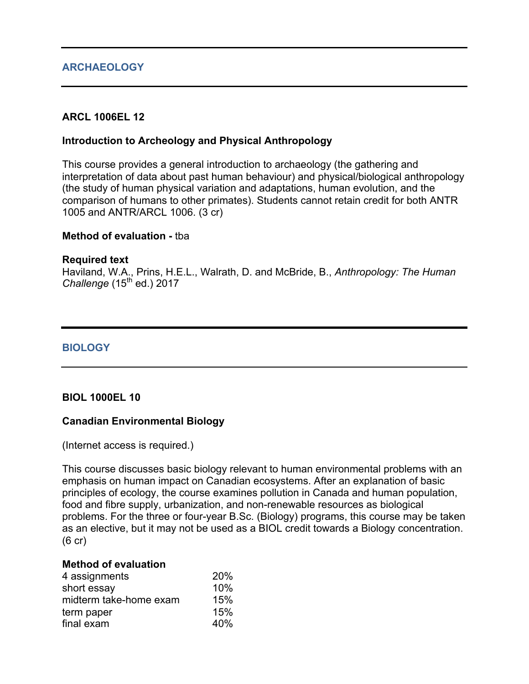# **ARCHAEOLOGY**

# **ARCL 1006EL 12**

### **Introduction to Archeology and Physical Anthropology**

This course provides a general introduction to archaeology (the gathering and interpretation of data about past human behaviour) and physical/biological anthropology (the study of human physical variation and adaptations, human evolution, and the comparison of humans to other primates). Students cannot retain credit for both ANTR 1005 and ANTR/ARCL 1006. (3 cr)

#### **Method of evaluation -** tba

#### **Required text**

Haviland, W.A., Prins, H.E.L., Walrath, D. and McBride, B., *Anthropology: The Human Challenge* (15<sup>th</sup> ed.) 2017

### **BIOLOGY**

#### **BIOL 1000EL 10**

#### **Canadian Environmental Biology**

(Internet access is required.)

This course discusses basic biology relevant to human environmental problems with an emphasis on human impact on Canadian ecosystems. After an explanation of basic principles of ecology, the course examines pollution in Canada and human population, food and fibre supply, urbanization, and non-renewable resources as biological problems. For the three or four-year B.Sc. (Biology) programs, this course may be taken as an elective, but it may not be used as a BIOL credit towards a Biology concentration. (6 cr)

#### **Method of evaluation**

| 20% |
|-----|
| 10% |
| 15% |
| 15% |
| 40% |
|     |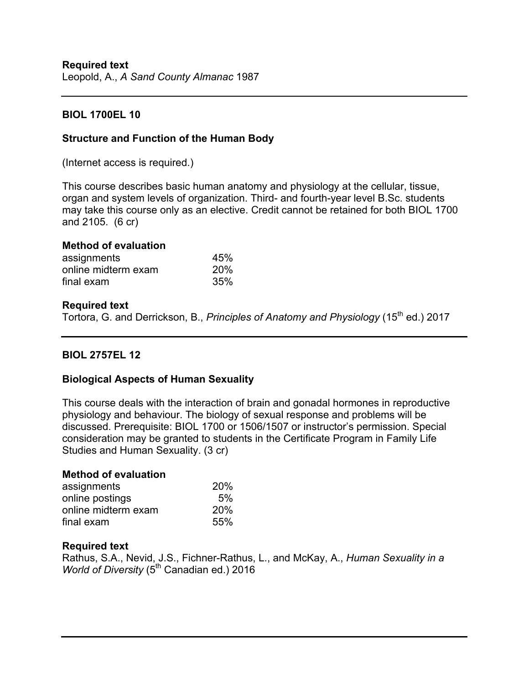# **BIOL 1700EL 10**

# **Structure and Function of the Human Body**

(Internet access is required.)

This course describes basic human anatomy and physiology at the cellular, tissue, organ and system levels of organization. Third- and fourth-year level B.Sc. students may take this course only as an elective. Credit cannot be retained for both BIOL 1700 and 2105. (6 cr)

### **Method of evaluation**

| assignments         | 45% |
|---------------------|-----|
| online midterm exam | 20% |
| final exam          | 35% |

### **Required text**

Tortora, G. and Derrickson, B., *Principles of Anatomy and Physiology* (15<sup>th</sup> ed.) 2017

# **BIOL 2757EL 12**

# **Biological Aspects of Human Sexuality**

This course deals with the interaction of brain and gonadal hormones in reproductive physiology and behaviour. The biology of sexual response and problems will be discussed. Prerequisite: BIOL 1700 or 1506/1507 or instructor's permission. Special consideration may be granted to students in the Certificate Program in Family Life Studies and Human Sexuality. (3 cr)

#### **Method of evaluation**

| assignments         | <b>20%</b> |
|---------------------|------------|
| online postings     | 5%         |
| online midterm exam | <b>20%</b> |
| final exam          | 55%        |

# **Required text**

Rathus, S.A., Nevid, J.S., Fichner-Rathus, L., and McKay, A., *Human Sexuality in a World of Diversity* (5<sup>th</sup> Canadian ed.) 2016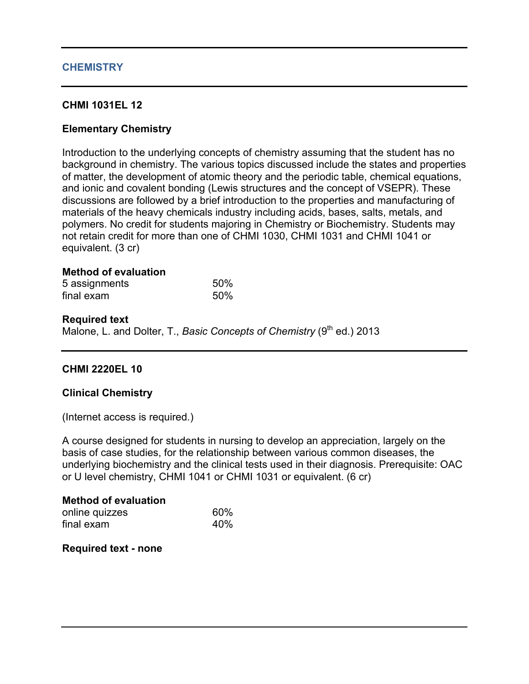### **CHEMISTRY**

### **CHMI 1031EL 12**

### **Elementary Chemistry**

Introduction to the underlying concepts of chemistry assuming that the student has no background in chemistry. The various topics discussed include the states and properties of matter, the development of atomic theory and the periodic table, chemical equations, and ionic and covalent bonding (Lewis structures and the concept of VSEPR). These discussions are followed by a brief introduction to the properties and manufacturing of materials of the heavy chemicals industry including acids, bases, salts, metals, and polymers. No credit for students majoring in Chemistry or Biochemistry. Students may not retain credit for more than one of CHMI 1030, CHMI 1031 and CHMI 1041 or equivalent. (3 cr)

#### **Method of evaluation**

| 5 assignments | 50% |
|---------------|-----|
| final exam    | 50% |

#### **Required text**

Malone, L. and Dolter, T., *Basic Concepts of Chemistry* (9<sup>th</sup> ed.) 2013

#### **CHMI 2220EL 10**

#### **Clinical Chemistry**

(Internet access is required.)

A course designed for students in nursing to develop an appreciation, largely on the basis of case studies, for the relationship between various common diseases, the underlying biochemistry and the clinical tests used in their diagnosis. Prerequisite: OAC or U level chemistry, CHMI 1041 or CHMI 1031 or equivalent. (6 cr)

#### **Method of evaluation** online quizzes 60% final exam 40%

**Required text - none**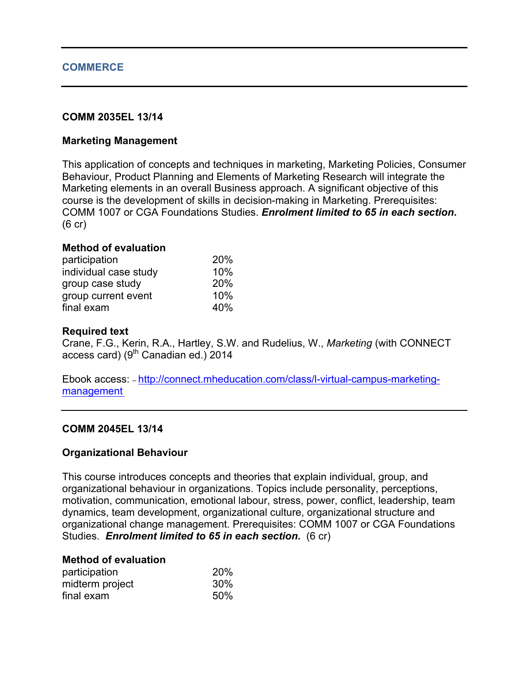#### **COMMERCE**

### **COMM 2035EL 13/14**

### **Marketing Management**

This application of concepts and techniques in marketing, Marketing Policies, Consumer Behaviour, Product Planning and Elements of Marketing Research will integrate the Marketing elements in an overall Business approach. A significant objective of this course is the development of skills in decision-making in Marketing. Prerequisites: COMM 1007 or CGA Foundations Studies. *Enrolment limited to 65 in each section***.** (6 cr)

#### **Method of evaluation**

| participation         | 20% |
|-----------------------|-----|
| individual case study | 10% |
| group case study      | 20% |
| group current event   | 10% |
| final exam            | 40% |

#### **Required text**

Crane, F.G., Kerin, R.A., Hartley, S.W. and Rudelius, W., *Marketing* (with CONNECT access card) ( $9<sup>th</sup>$  Canadian ed.) 2014

Ebook access: – http://connect.mheducation.com/class/l-virtual-campus-marketingmanagement

#### **COMM 2045EL 13/14**

#### **Organizational Behaviour**

This course introduces concepts and theories that explain individual, group, and organizational behaviour in organizations. Topics include personality, perceptions, motivation, communication, emotional labour, stress, power, conflict, leadership, team dynamics, team development, organizational culture, organizational structure and organizational change management. Prerequisites: COMM 1007 or CGA Foundations Studies. *Enrolment limited to 65 in each section***.** (6 cr)

#### **Method of evaluation**

| participation   | 20% |
|-----------------|-----|
| midterm project | 30% |
| final exam      | 50% |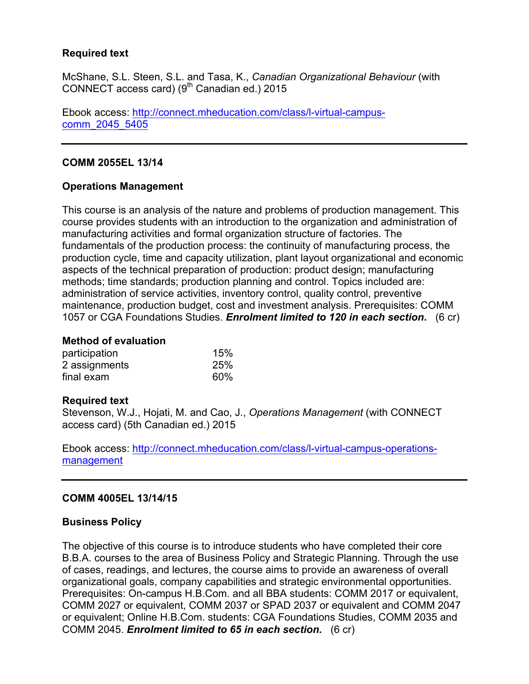# **Required text**

McShane, S.L. Steen, S.L. and Tasa, K., *Canadian Organizational Behaviour* (with CONNECT access card)  $(9<sup>th</sup>$  Canadian ed.) 2015

Ebook access: http://connect.mheducation.com/class/l-virtual-campuscomm\_2045\_5405

# **COMM 2055EL 13/14**

# **Operations Management**

This course is an analysis of the nature and problems of production management. This course provides students with an introduction to the organization and administration of manufacturing activities and formal organization structure of factories. The fundamentals of the production process: the continuity of manufacturing process, the production cycle, time and capacity utilization, plant layout organizational and economic aspects of the technical preparation of production: product design; manufacturing methods; time standards; production planning and control. Topics included are: administration of service activities, inventory control, quality control, preventive maintenance, production budget, cost and investment analysis. Prerequisites: COMM 1057 or CGA Foundations Studies. *Enrolment limited to 120 in each section***.** (6 cr)

### **Method of evaluation**

| participation | 15% |
|---------------|-----|
| 2 assignments | 25% |
| final exam    | 60% |

#### **Required text**

Stevenson, W.J., Hojati, M. and Cao, J., *Operations Management* (with CONNECT access card) (5th Canadian ed.) 2015

Ebook access: http://connect.mheducation.com/class/l-virtual-campus-operationsmanagement

# **COMM 4005EL 13/14/15**

# **Business Policy**

The objective of this course is to introduce students who have completed their core B.B.A. courses to the area of Business Policy and Strategic Planning. Through the use of cases, readings, and lectures, the course aims to provide an awareness of overall organizational goals, company capabilities and strategic environmental opportunities. Prerequisites: On-campus H.B.Com. and all BBA students: COMM 2017 or equivalent, COMM 2027 or equivalent, COMM 2037 or SPAD 2037 or equivalent and COMM 2047 or equivalent; Online H.B.Com. students: CGA Foundations Studies, COMM 2035 and COMM 2045. *Enrolment limited to 65 in each section***.** (6 cr)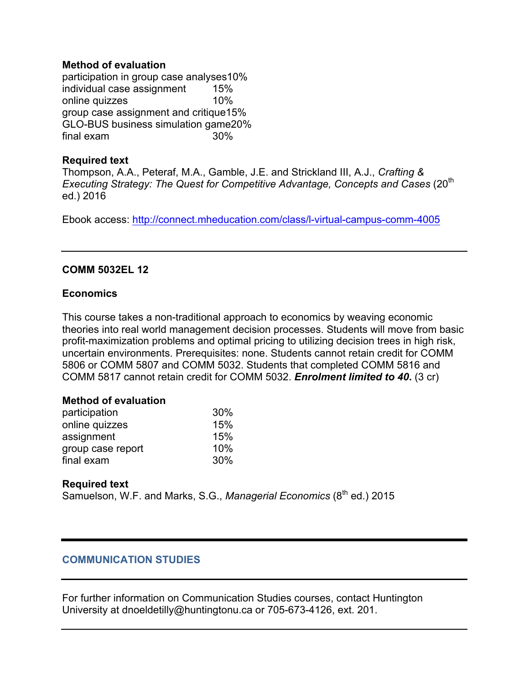### **Method of evaluation**

participation in group case analyses10% individual case assignment 15% online quizzes 10% group case assignment and critique15% GLO-BUS business simulation game20% final exam 30%

### **Required text**

Thompson, A.A., Peteraf, M.A., Gamble, J.E. and Strickland III, A.J., *Crafting & Executing Strategy: The Quest for Competitive Advantage, Concepts and Cases* (20<sup>th</sup>) ed.) 2016

Ebook access: http://connect.mheducation.com/class/l-virtual-campus-comm-4005

# **COMM 5032EL 12**

### **Economics**

This course takes a non-traditional approach to economics by weaving economic theories into real world management decision processes. Students will move from basic profit-maximization problems and optimal pricing to utilizing decision trees in high risk, uncertain environments. Prerequisites: none. Students cannot retain credit for COMM 5806 or COMM 5807 and COMM 5032. Students that completed COMM 5816 and COMM 5817 cannot retain credit for COMM 5032. *Enrolment limited to 40***.** (3 cr)

#### **Method of evaluation**

| participation     | 30% |
|-------------------|-----|
| online quizzes    | 15% |
| assignment        | 15% |
| group case report | 10% |
| final exam        | 30% |

# **Required text**

Samuelson, W.F. and Marks, S.G., *Managerial Economics* (8<sup>th</sup> ed.) 2015

# **COMMUNICATION STUDIES**

For further information on Communication Studies courses, contact Huntington University at dnoeldetilly@huntingtonu.ca or 705-673-4126, ext. 201.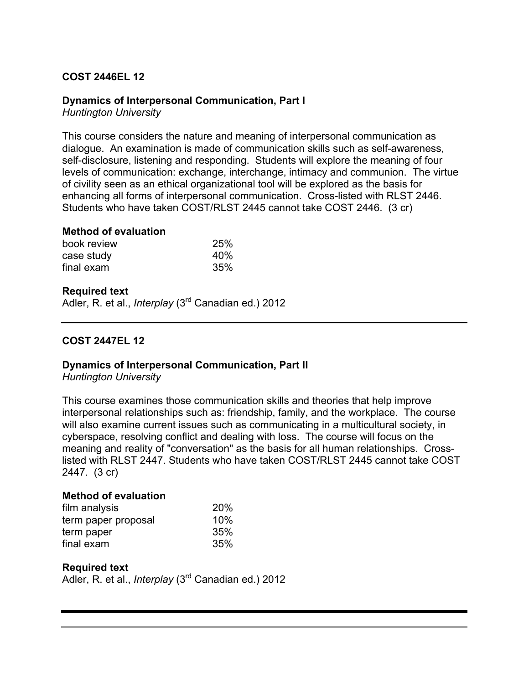# **COST 2446EL 12**

### **Dynamics of Interpersonal Communication, Part I**

*Huntington University*

This course considers the nature and meaning of interpersonal communication as dialogue. An examination is made of communication skills such as self-awareness, self-disclosure, listening and responding. Students will explore the meaning of four levels of communication: exchange, interchange, intimacy and communion. The virtue of civility seen as an ethical organizational tool will be explored as the basis for enhancing all forms of interpersonal communication. Cross-listed with RLST 2446. Students who have taken COST/RLST 2445 cannot take COST 2446. (3 cr)

#### **Method of evaluation**

| book review | 25% |
|-------------|-----|
| case study  | 40% |
| final exam  | 35% |

#### **Required text**

Adler, R. et al., *Interplay* (3rd Canadian ed.) 2012

### **COST 2447EL 12**

#### **Dynamics of Interpersonal Communication, Part II**

*Huntington University*

This course examines those communication skills and theories that help improve interpersonal relationships such as: friendship, family, and the workplace. The course will also examine current issues such as communicating in a multicultural society, in cyberspace, resolving conflict and dealing with loss. The course will focus on the meaning and reality of "conversation" as the basis for all human relationships. Crosslisted with RLST 2447. Students who have taken COST/RLST 2445 cannot take COST 2447. (3 cr)

#### **Method of evaluation**

| film analysis       | 20% |
|---------------------|-----|
| term paper proposal | 10% |
| term paper          | 35% |
| final exam          | 35% |

#### **Required text**

Adler, R. et al., *Interplay* (3rd Canadian ed.) 2012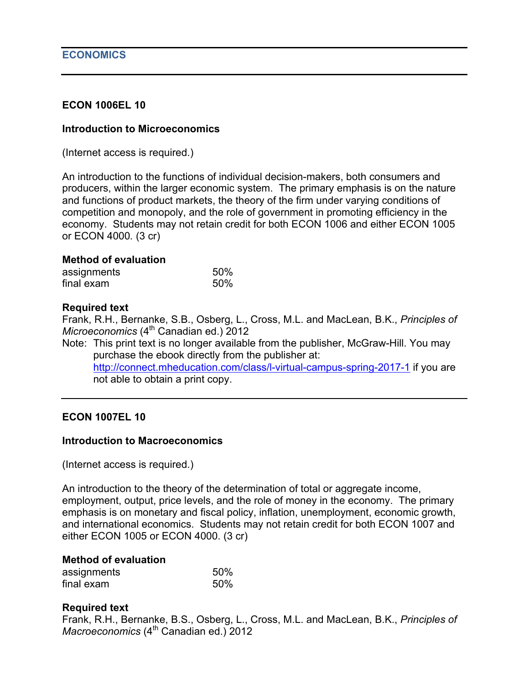### **ECON 1006EL 10**

#### **Introduction to Microeconomics**

(Internet access is required.)

An introduction to the functions of individual decision-makers, both consumers and producers, within the larger economic system. The primary emphasis is on the nature and functions of product markets, the theory of the firm under varying conditions of competition and monopoly, and the role of government in promoting efficiency in the economy. Students may not retain credit for both ECON 1006 and either ECON 1005 or ECON 4000*.* (3 cr)

### **Method of evaluation**

| assignments | 50% |
|-------------|-----|
| final exam  | 50% |

### **Required text**

Frank, R.H., Bernanke, S.B., Osberg, L., Cross, M.L. and MacLean, B.K., *Principles of Microeconomics* (4<sup>th</sup> Canadian ed.) 2012

Note: This print text is no longer available from the publisher, McGraw-Hill. You may purchase the ebook directly from the publisher at: http://connect.mheducation.com/class/l-virtual-campus-spring-2017-1 if you are not able to obtain a print copy.

#### **ECON 1007EL 10**

#### **Introduction to Macroeconomics**

(Internet access is required.)

An introduction to the theory of the determination of total or aggregate income, employment, output, price levels, and the role of money in the economy. The primary emphasis is on monetary and fiscal policy, inflation, unemployment, economic growth, and international economics. Students may not retain credit for both ECON 1007 and either ECON 1005 or ECON 4000. (3 cr)

#### **Method of evaluation**

| assignments | 50% |
|-------------|-----|
| final exam  | 50% |

#### **Required text**

Frank, R.H., Bernanke, B.S., Osberg, L., Cross, M.L. and MacLean, B.K., *Principles of Macroeconomics* (4<sup>th</sup> Canadian ed.) 2012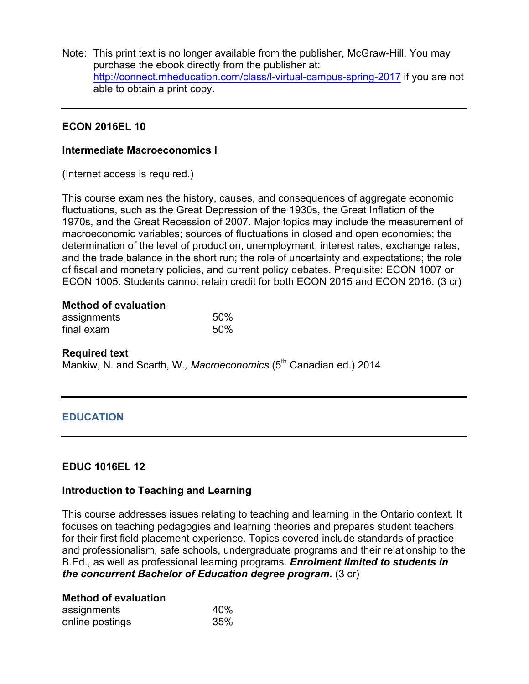Note: This print text is no longer available from the publisher, McGraw-Hill. You may purchase the ebook directly from the publisher at: http://connect.mheducation.com/class/l-virtual-campus-spring-2017 if you are not able to obtain a print copy.

### **ECON 2016EL 10**

#### **Intermediate Macroeconomics I**

(Internet access is required.)

This course examines the history, causes, and consequences of aggregate economic fluctuations, such as the Great Depression of the 1930s, the Great Inflation of the 1970s, and the Great Recession of 2007. Major topics may include the measurement of macroeconomic variables; sources of fluctuations in closed and open economies; the determination of the level of production, unemployment, interest rates, exchange rates, and the trade balance in the short run; the role of uncertainty and expectations; the role of fiscal and monetary policies, and current policy debates. Prequisite: ECON 1007 or ECON 1005. Students cannot retain credit for both ECON 2015 and ECON 2016. (3 cr)

# **Method of evaluation**

| assignments | 50% |
|-------------|-----|
| final exam  | 50% |

#### **Required text**

Mankiw, N. and Scarth, W., Macroeconomics (5<sup>th</sup> Canadian ed.) 2014

# **EDUCATION**

#### **EDUC 1016EL 12**

#### **Introduction to Teaching and Learning**

This course addresses issues relating to teaching and learning in the Ontario context. It focuses on teaching pedagogies and learning theories and prepares student teachers for their first field placement experience. Topics covered include standards of practice and professionalism, safe schools, undergraduate programs and their relationship to the B.Ed., as well as professional learning programs. *Enrolment limited to students in the concurrent Bachelor of Education degree program.* (3 cr)

#### **Method of evaluation** assignments 40% online postings 35%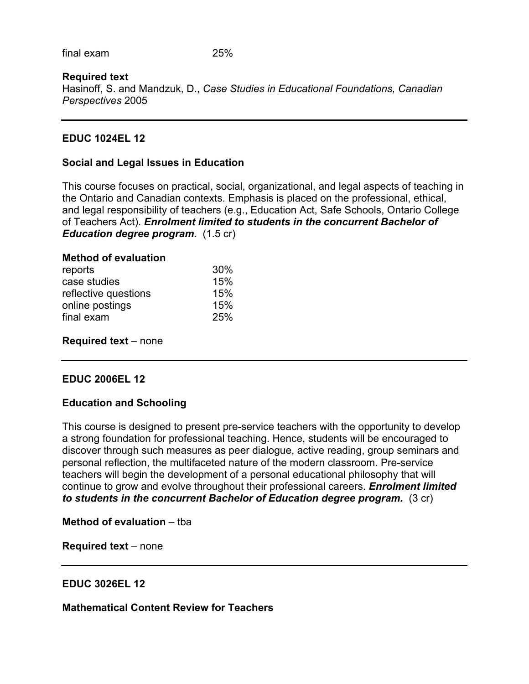final exam 25%

# **Required text**

Hasinoff, S. and Mandzuk, D., *Case Studies in Educational Foundations, Canadian Perspectives* 2005

# **EDUC 1024EL 12**

#### **Social and Legal Issues in Education**

This course focuses on practical, social, organizational, and legal aspects of teaching in the Ontario and Canadian contexts. Emphasis is placed on the professional, ethical, and legal responsibility of teachers (e.g., Education Act, Safe Schools, Ontario College of Teachers Act). *Enrolment limited to students in the concurrent Bachelor of Education degree program.* (1.5 cr)

| 30% |
|-----|
| 15% |
| 15% |
| 15% |
| 25% |
|     |

**Required text** – none

#### **EDUC 2006EL 12**

#### **Education and Schooling**

This course is designed to present pre-service teachers with the opportunity to develop a strong foundation for professional teaching. Hence, students will be encouraged to discover through such measures as peer dialogue, active reading, group seminars and personal reflection, the multifaceted nature of the modern classroom. Pre-service teachers will begin the development of a personal educational philosophy that will continue to grow and evolve throughout their professional careers. *Enrolment limited to students in the concurrent Bachelor of Education degree program.* (3 cr)

**Method of evaluation** – tba

**Required text** – none

#### **EDUC 3026EL 12**

**Mathematical Content Review for Teachers**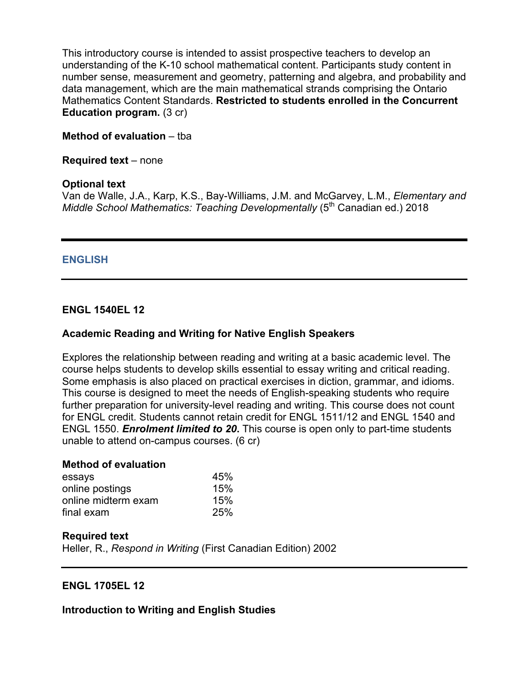This introductory course is intended to assist prospective teachers to develop an understanding of the K-10 school mathematical content. Participants study content in number sense, measurement and geometry, patterning and algebra, and probability and data management, which are the main mathematical strands comprising the Ontario Mathematics Content Standards. **Restricted to students enrolled in the Concurrent Education program.** (3 cr)

### **Method of evaluation** – tba

**Required text** – none

#### **Optional text**

Van de Walle, J.A., Karp, K.S., Bay-Williams, J.M. and McGarvey, L.M., *Elementary and Middle School Mathematics: Teaching Developmentally* (5<sup>th</sup> Canadian ed.) 2018

# **ENGLISH**

### **ENGL 1540EL 12**

# **Academic Reading and Writing for Native English Speakers**

Explores the relationship between reading and writing at a basic academic level. The course helps students to develop skills essential to essay writing and critical reading. Some emphasis is also placed on practical exercises in diction, grammar, and idioms. This course is designed to meet the needs of English-speaking students who require further preparation for university-level reading and writing. This course does not count for ENGL credit. Students cannot retain credit for ENGL 1511/12 and ENGL 1540 and ENGL 1550. *Enrolment limited to 20***.** This course is open only to part-time students unable to attend on-campus courses. (6 cr)

#### **Method of evaluation**

| essays              | 45% |
|---------------------|-----|
| online postings     | 15% |
| online midterm exam | 15% |
| final exam          | 25% |

#### **Required text**

Heller, R., *Respond in Writing* (First Canadian Edition) 2002

# **ENGL 1705EL 12**

**Introduction to Writing and English Studies**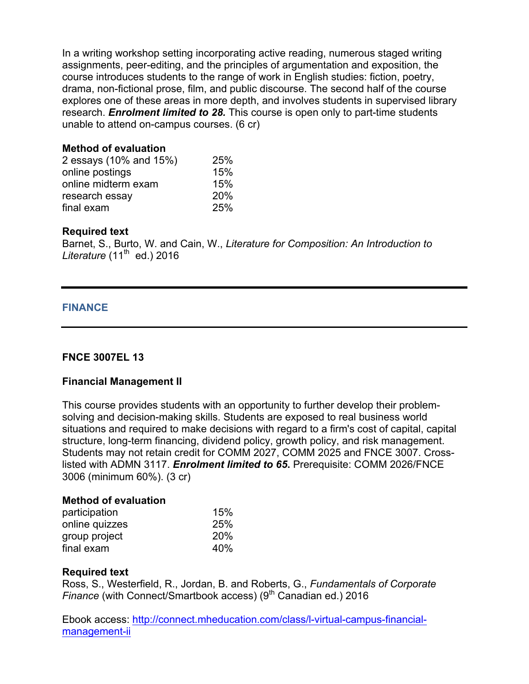In a writing workshop setting incorporating active reading, numerous staged writing assignments, peer-editing, and the principles of argumentation and exposition, the course introduces students to the range of work in English studies: fiction, poetry, drama, non-fictional prose, film, and public discourse. The second half of the course explores one of these areas in more depth, and involves students in supervised library research. *Enrolment limited to 28.* This course is open only to part-time students unable to attend on-campus courses. (6 cr)

### **Method of evaluation**

| 2 essays (10% and 15%) | 25% |
|------------------------|-----|
| online postings        | 15% |
| online midterm exam    | 15% |
| research essay         | 20% |
| final exam             | 25% |

### **Required text**

Barnet, S., Burto, W. and Cain, W., *Literature for Composition: An Introduction to Literature* (11<sup>th</sup> ed.) 2016

### **FINANCE**

# **FNCE 3007EL 13**

#### **Financial Management II**

This course provides students with an opportunity to further develop their problemsolving and decision-making skills. Students are exposed to real business world situations and required to make decisions with regard to a firm's cost of capital, capital structure, long-term financing, dividend policy, growth policy, and risk management. Students may not retain credit for COMM 2027, COMM 2025 and FNCE 3007. Crosslisted with ADMN 3117. *Enrolment limited to 65***.** Prerequisite: COMM 2026/FNCE 3006 (minimum 60%). (3 cr)

#### **Method of evaluation**

| participation  | 15%        |
|----------------|------------|
| online quizzes | 25%        |
| group project  | <b>20%</b> |
| final exam     | 40%        |

#### **Required text**

Ross, S., Westerfield, R., Jordan, B. and Roberts, G., *Fundamentals of Corporate Finance* (with Connect/Smartbook access) (9<sup>th</sup> Canadian ed.) 2016

Ebook access: http://connect.mheducation.com/class/l-virtual-campus-financialmanagement-ii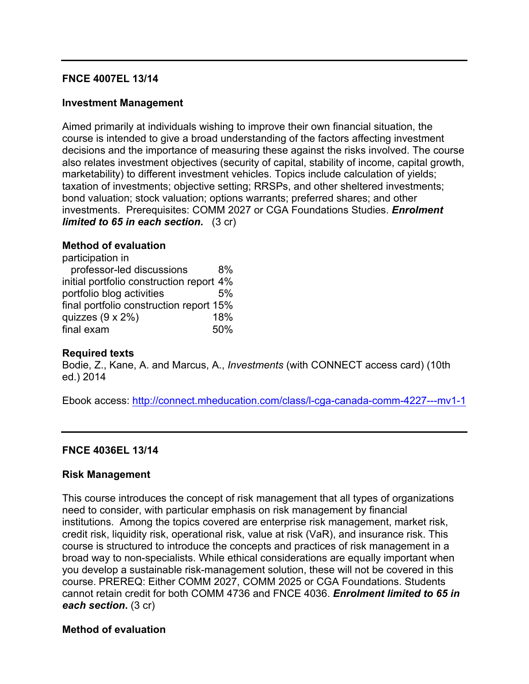### **FNCE 4007EL 13/14**

### **Investment Management**

Aimed primarily at individuals wishing to improve their own financial situation, the course is intended to give a broad understanding of the factors affecting investment decisions and the importance of measuring these against the risks involved. The course also relates investment objectives (security of capital, stability of income, capital growth, marketability) to different investment vehicles. Topics include calculation of yields; taxation of investments; objective setting; RRSPs, and other sheltered investments; bond valuation; stock valuation; options warrants; preferred shares; and other investments. Prerequisites: COMM 2027 or CGA Foundations Studies. *Enrolment limited to 65 in each section.* (3 cr)

#### **Method of evaluation**

| participation in                         |     |
|------------------------------------------|-----|
| professor-led discussions                | 8%  |
| initial portfolio construction report 4% |     |
| portfolio blog activities                | 5%  |
| final portfolio construction report 15%  |     |
| quizzes $(9 \times 2\%)$                 | 18% |
| final exam                               | 50% |

#### **Required texts**

Bodie, Z., Kane, A. and Marcus, A., *Investments* (with CONNECT access card) (10th ed.) 2014

Ebook access: http://connect.mheducation.com/class/l-cga-canada-comm-4227---mv1-1

#### **FNCE 4036EL 13/14**

#### **Risk Management**

This course introduces the concept of risk management that all types of organizations need to consider, with particular emphasis on risk management by financial institutions. Among the topics covered are enterprise risk management, market risk, credit risk, liquidity risk, operational risk, value at risk (VaR), and insurance risk. This course is structured to introduce the concepts and practices of risk management in a broad way to non-specialists. While ethical considerations are equally important when you develop a sustainable risk-management solution, these will not be covered in this course. PREREQ: Either COMM 2027, COMM 2025 or CGA Foundations. Students cannot retain credit for both COMM 4736 and FNCE 4036. *Enrolment limited to 65 in each section***.** (3 cr)

#### **Method of evaluation**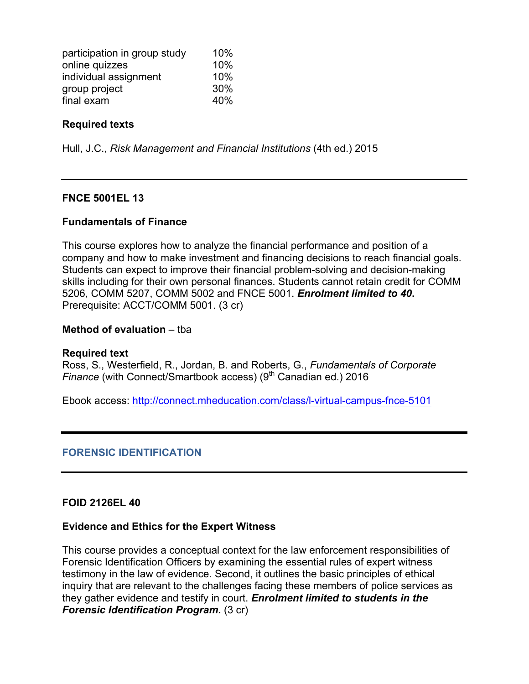| participation in group study | 10% |
|------------------------------|-----|
| online quizzes               | 10% |
| individual assignment        | 10% |
| group project                | 30% |
| final exam                   | 40% |

### **Required texts**

Hull, J.C., *Risk Management and Financial Institutions* (4th ed.) 2015

### **FNCE 5001EL 13**

#### **Fundamentals of Finance**

This course explores how to analyze the financial performance and position of a company and how to make investment and financing decisions to reach financial goals. Students can expect to improve their financial problem-solving and decision-making skills including for their own personal finances. Students cannot retain credit for COMM 5206, COMM 5207, COMM 5002 and FNCE 5001. *Enrolment limited to 40***.**  Prerequisite: ACCT/COMM 5001. (3 cr)

#### **Method of evaluation** – tba

#### **Required text**

Ross, S., Westerfield, R., Jordan, B. and Roberts, G., *Fundamentals of Corporate Finance* (with Connect/Smartbook access) (9<sup>th</sup> Canadian ed.) 2016

Ebook access: http://connect.mheducation.com/class/l-virtual-campus-fnce-5101

#### **FORENSIC IDENTIFICATION**

#### **FOID 2126EL 40**

#### **Evidence and Ethics for the Expert Witness**

This course provides a conceptual context for the law enforcement responsibilities of Forensic Identification Officers by examining the essential rules of expert witness testimony in the law of evidence. Second, it outlines the basic principles of ethical inquiry that are relevant to the challenges facing these members of police services as they gather evidence and testify in court. *Enrolment limited to students in the Forensic Identification Program.* (3 cr)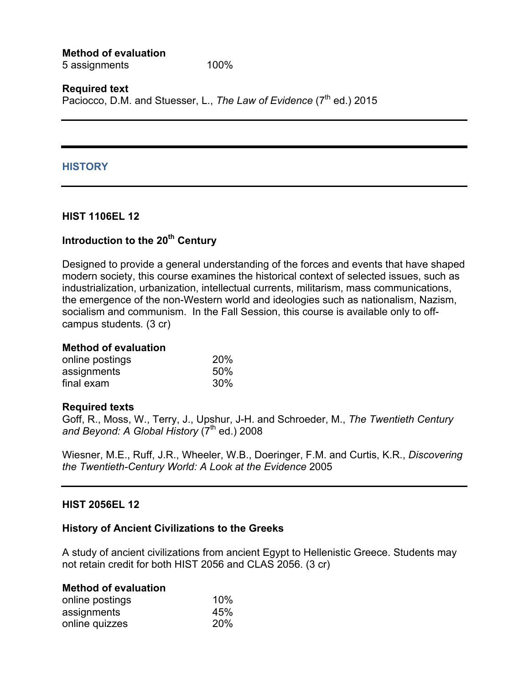**Method of evaluation** 5 assignments 100%

**Required text** Paciocco, D.M. and Stuesser, L., *The Law of Evidence* (7<sup>th</sup> ed.) 2015

#### **HISTORY**

#### **HIST 1106EL 12**

# **Introduction to the 20th Century**

Designed to provide a general understanding of the forces and events that have shaped modern society, this course examines the historical context of selected issues, such as industrialization, urbanization, intellectual currents, militarism, mass communications, the emergence of the non-Western world and ideologies such as nationalism, Nazism, socialism and communism. In the Fall Session, this course is available only to offcampus students*.* (3 cr)

### **Method of evaluation**

| online postings | 20% |
|-----------------|-----|
| assignments     | 50% |
| final exam      | 30% |

#### **Required texts**

Goff, R., Moss, W., Terry, J., Upshur, J-H. and Schroeder, M., *The Twentieth Century* and Beyond: A Global History (7<sup>th</sup> ed.) 2008

Wiesner, M.E., Ruff, J.R., Wheeler, W.B., Doeringer, F.M. and Curtis, K.R., *Discovering the Twentieth-Century World: A Look at the Evidence* 2005

#### **HIST 2056EL 12**

#### **History of Ancient Civilizations to the Greeks**

A study of ancient civilizations from ancient Egypt to Hellenistic Greece. Students may not retain credit for both HIST 2056 and CLAS 2056. (3 cr)

| <b>Method of evaluation</b> |     |
|-----------------------------|-----|
| online postings             | 10% |
| assignments                 | 45% |
| online quizzes              | 20% |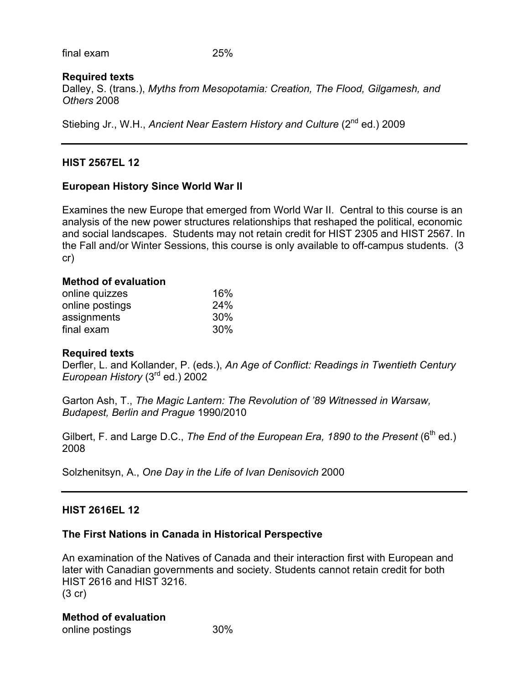final exam 25%

# **Required texts**

Dalley, S. (trans.), *Myths from Mesopotamia: Creation, The Flood, Gilgamesh, and Others* 2008

Stiebing Jr., W.H., *Ancient Near Eastern History and Culture* (2<sup>nd</sup> ed.) 2009

# **HIST 2567EL 12**

# **European History Since World War II**

Examines the new Europe that emerged from World War II. Central to this course is an analysis of the new power structures relationships that reshaped the political, economic and social landscapes. Students may not retain credit for HIST 2305 and HIST 2567. In the Fall and/or Winter Sessions, this course is only available to off-campus students. (3 cr)

# **Method of evaluation**

| online quizzes  | 16% |
|-----------------|-----|
| online postings | 24% |
| assignments     | 30% |
| final exam      | 30% |

# **Required texts**

Derfler, L. and Kollander, P. (eds.), *An Age of Conflict: Readings in Twentieth Century European History* (3rd ed.) 2002

Garton Ash, T., *The Magic Lantern: The Revolution of '89 Witnessed in Warsaw, Budapest, Berlin and Prague* 1990/2010

Gilbert, F. and Large D.C., *The End of the European Era, 1890 to the Present* (6<sup>th</sup> ed.) 2008

Solzhenitsyn, A., *One Day in the Life of Ivan Denisovich* 2000

# **HIST 2616EL 12**

# **The First Nations in Canada in Historical Perspective**

An examination of the Natives of Canada and their interaction first with European and later with Canadian governments and society. Students cannot retain credit for both HIST 2616 and HIST 3216. (3 cr)

# **Method of evaluation**

online postings and the 30%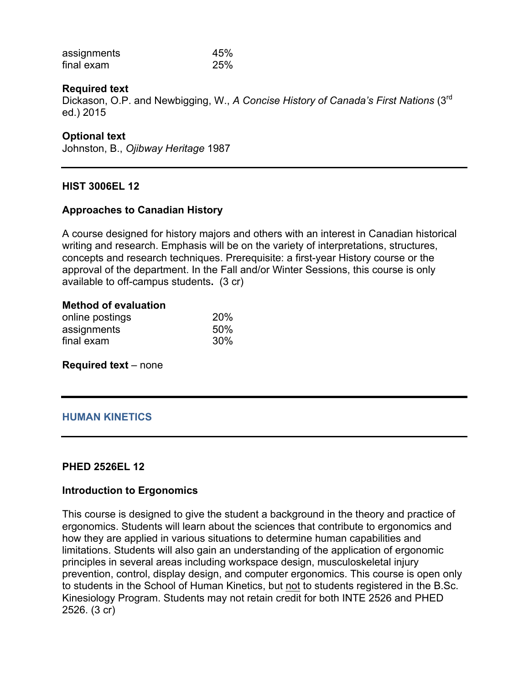| assignments | 45% |
|-------------|-----|
| final exam  | 25% |

### **Required text**

Dickason, O.P. and Newbigging, W., *A Concise History of Canada's First Nations* (3rd ed.) 2015

### **Optional text**

Johnston, B., *Ojibway Heritage* 1987

#### **HIST 3006EL 12**

### **Approaches to Canadian History**

A course designed for history majors and others with an interest in Canadian historical writing and research. Emphasis will be on the variety of interpretations, structures, concepts and research techniques. Prerequisite: a first-year History course or the approval of the department. In the Fall and/or Winter Sessions, this course is only available to off-campus students**.** (3 cr)

#### **Method of evaluation**

| online postings | 20% |
|-----------------|-----|
| assignments     | 50% |
| final exam      | 30% |

**Required text** – none

# **HUMAN KINETICS**

#### **PHED 2526EL 12**

#### **Introduction to Ergonomics**

This course is designed to give the student a background in the theory and practice of ergonomics. Students will learn about the sciences that contribute to ergonomics and how they are applied in various situations to determine human capabilities and limitations. Students will also gain an understanding of the application of ergonomic principles in several areas including workspace design, musculoskeletal injury prevention, control, display design, and computer ergonomics. This course is open only to students in the School of Human Kinetics, but not to students registered in the B.Sc. Kinesiology Program. Students may not retain credit for both INTE 2526 and PHED 2526. (3 cr)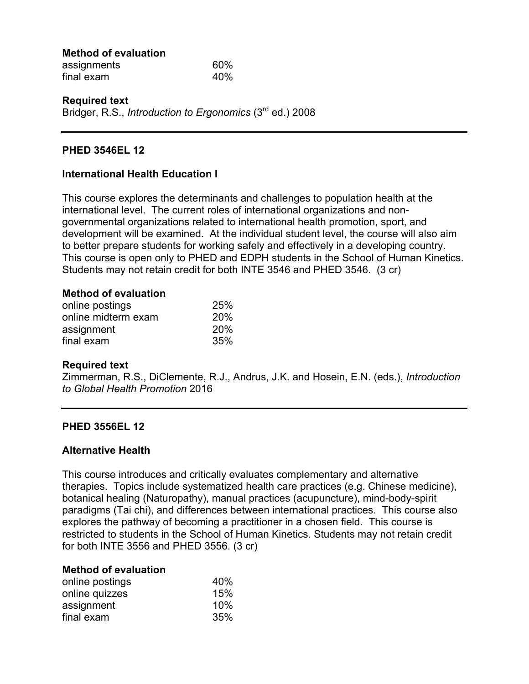| <b>Method of evaluation</b> |     |
|-----------------------------|-----|
| assignments                 | 60% |
| final exam                  | 40% |

#### **Required text** Bridger, R.S., *Introduction to Ergonomics* (3rd ed.) 2008

### **PHED 3546EL 12**

### **International Health Education I**

This course explores the determinants and challenges to population health at the international level. The current roles of international organizations and nongovernmental organizations related to international health promotion, sport, and development will be examined. At the individual student level, the course will also aim to better prepare students for working safely and effectively in a developing country. This course is open only to PHED and EDPH students in the School of Human Kinetics. Students may not retain credit for both INTE 3546 and PHED 3546. (3 cr)

#### **Method of evaluation**

| online postings     | 25%        |
|---------------------|------------|
| online midterm exam | <b>20%</b> |
| assignment          | <b>20%</b> |
| final exam          | 35%        |

#### **Required text**

Zimmerman, R.S., DiClemente, R.J., Andrus, J.K. and Hosein, E.N. (eds.), *Introduction to Global Health Promotion* 2016

#### **PHED 3556EL 12**

#### **Alternative Health**

This course introduces and critically evaluates complementary and alternative therapies. Topics include systematized health care practices (e.g. Chinese medicine), botanical healing (Naturopathy), manual practices (acupuncture), mind-body-spirit paradigms (Tai chi), and differences between international practices. This course also explores the pathway of becoming a practitioner in a chosen field. This course is restricted to students in the School of Human Kinetics. Students may not retain credit for both INTE 3556 and PHED 3556. (3 cr)

#### **Method of evaluation**

| online postings | 40% |
|-----------------|-----|
| online quizzes  | 15% |
| assignment      | 10% |
| final exam      | 35% |
|                 |     |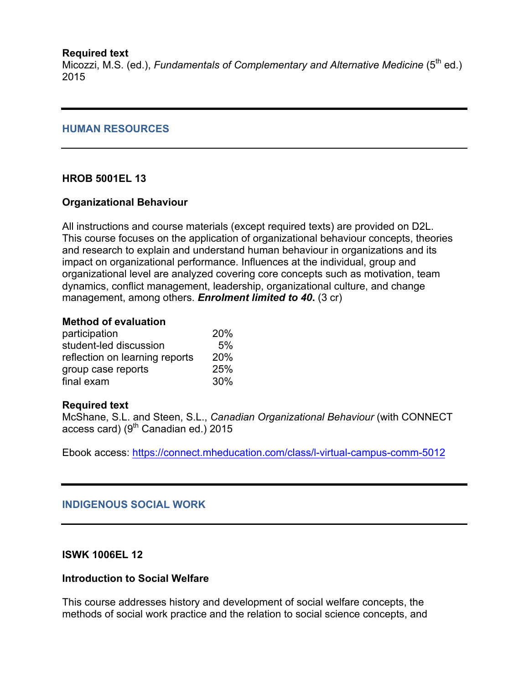### **Required text**

Micozzi, M.S. (ed.), *Fundamentals of Complementary and Alternative Medicine* (5<sup>th</sup> ed.) 2015

### **HUMAN RESOURCES**

# **HROB 5001EL 13**

### **Organizational Behaviour**

All instructions and course materials (except required texts) are provided on D2L. This course focuses on the application of organizational behaviour concepts, theories and research to explain and understand human behaviour in organizations and its impact on organizational performance. Influences at the individual, group and organizational level are analyzed covering core concepts such as motivation, team dynamics, conflict management, leadership, organizational culture, and change management, among others. *Enrolment limited to 40***.** (3 cr)

#### **Method of evaluation**

| participation                  | 20% |
|--------------------------------|-----|
| student-led discussion         | 5%  |
| reflection on learning reports | 20% |
| group case reports             | 25% |
| final exam                     | 30% |

#### **Required text**

McShane, S.L. and Steen, S.L., *Canadian Organizational Behaviour* (with CONNECT access card) (9<sup>th</sup> Canadian ed.) 2015

Ebook access: https://connect.mheducation.com/class/l-virtual-campus-comm-5012

# **INDIGENOUS SOCIAL WORK**

#### **ISWK 1006EL 12**

# **Introduction to Social Welfare**

This course addresses history and development of social welfare concepts, the methods of social work practice and the relation to social science concepts, and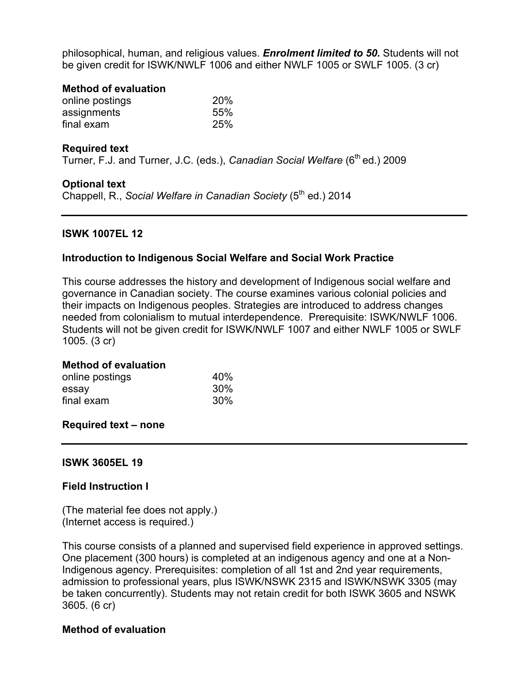philosophical, human, and religious values. *Enrolment limited to 50.* Students will not be given credit for ISWK/NWLF 1006 and either NWLF 1005 or SWLF 1005. (3 cr)

#### **Method of evaluation**

| online postings | 20% |  |
|-----------------|-----|--|
| assignments     | 55% |  |
| final exam      | 25% |  |

### **Required text**

Turner, F.J. and Turner, J.C. (eds.), *Canadian Social Welfare* (6<sup>th</sup> ed.) 2009

#### **Optional text**

Chappell, R., *Social Welfare in Canadian Society* (5<sup>th</sup> ed.) 2014

# **ISWK 1007EL 12**

### **Introduction to Indigenous Social Welfare and Social Work Practice**

This course addresses the history and development of Indigenous social welfare and governance in Canadian society. The course examines various colonial policies and their impacts on Indigenous peoples. Strategies are introduced to address changes needed from colonialism to mutual interdependence. Prerequisite: ISWK/NWLF 1006. Students will not be given credit for ISWK/NWLF 1007 and either NWLF 1005 or SWLF 1005. (3 cr)

#### **Method of evaluation**

| online postings | 40% |
|-----------------|-----|
| essay           | 30% |
| final exam      | 30% |

#### **Required text – none**

#### **ISWK 3605EL 19**

# **Field Instruction I**

(The material fee does not apply.) (Internet access is required.)

This course consists of a planned and supervised field experience in approved settings. One placement (300 hours) is completed at an indigenous agency and one at a Non-Indigenous agency. Prerequisites: completion of all 1st and 2nd year requirements, admission to professional years, plus ISWK/NSWK 2315 and ISWK/NSWK 3305 (may be taken concurrently). Students may not retain credit for both ISWK 3605 and NSWK 3605. (6 cr)

#### **Method of evaluation**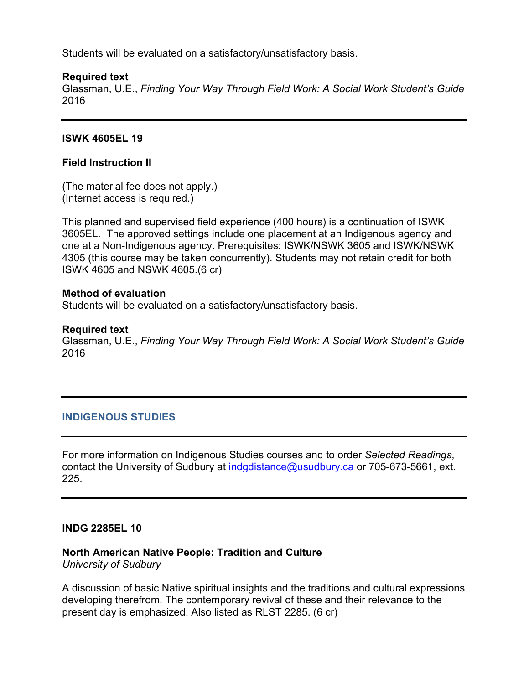Students will be evaluated on a satisfactory/unsatisfactory basis.

### **Required text**

Glassman, U.E., *Finding Your Way Through Field Work: A Social Work Student's Guide* 2016

### **ISWK 4605EL 19**

### **Field Instruction II**

(The material fee does not apply.) (Internet access is required.)

This planned and supervised field experience (400 hours) is a continuation of ISWK 3605EL. The approved settings include one placement at an Indigenous agency and one at a Non-Indigenous agency. Prerequisites: ISWK/NSWK 3605 and ISWK/NSWK 4305 (this course may be taken concurrently). Students may not retain credit for both ISWK 4605 and NSWK 4605.(6 cr)

#### **Method of evaluation**

Students will be evaluated on a satisfactory/unsatisfactory basis.

#### **Required text**

Glassman, U.E., *Finding Your Way Through Field Work: A Social Work Student's Guide* 2016

#### **INDIGENOUS STUDIES**

For more information on Indigenous Studies courses and to order *Selected Readings*, contact the University of Sudbury at indgdistance@usudbury.ca or 705-673-5661, ext. 225.

#### **INDG 2285EL 10**

#### **North American Native People: Tradition and Culture**

*University of Sudbury*

A discussion of basic Native spiritual insights and the traditions and cultural expressions developing therefrom. The contemporary revival of these and their relevance to the present day is emphasized. Also listed as RLST 2285. (6 cr)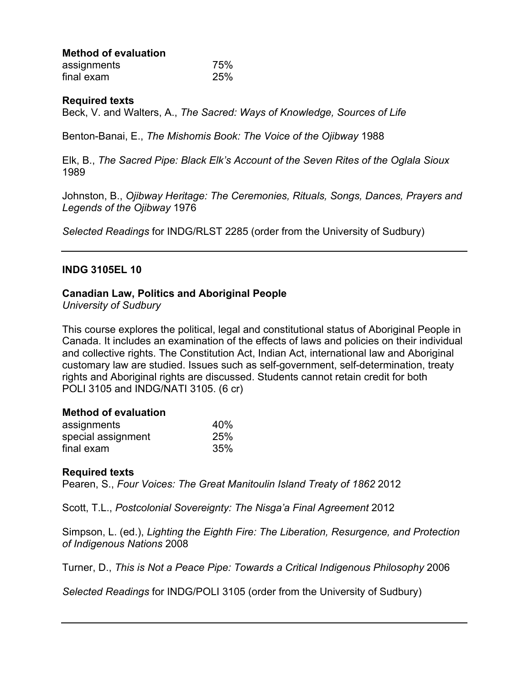| <b>Method of evaluation</b> |  |
|-----------------------------|--|
| accinnmantc                 |  |

| assignments | 75% |
|-------------|-----|
| final exam  | 25% |

#### **Required texts**

Beck, V. and Walters, A., *The Sacred: Ways of Knowledge, Sources of Life*

Benton-Banai, E., *The Mishomis Book: The Voice of the Ojibway* 1988

Elk, B., *The Sacred Pipe: Black Elk's Account of the Seven Rites of the Oglala Sioux*  1989

Johnston, B., *Ojibway Heritage: The Ceremonies, Rituals, Songs, Dances, Prayers and Legends of the Ojibway* 1976

*Selected Readings* for INDG/RLST 2285 (order from the University of Sudbury)

#### **INDG 3105EL 10**

#### **Canadian Law, Politics and Aboriginal People**

*University of Sudbury*

This course explores the political, legal and constitutional status of Aboriginal People in Canada. It includes an examination of the effects of laws and policies on their individual and collective rights. The Constitution Act, Indian Act, international law and Aboriginal customary law are studied. Issues such as self-government, self-determination, treaty rights and Aboriginal rights are discussed. Students cannot retain credit for both POLI 3105 and INDG/NATI 3105. (6 cr)

#### **Method of evaluation**

| assignments        | 40% |
|--------------------|-----|
| special assignment | 25% |
| final exam         | 35% |

#### **Required texts**

Pearen, S., *Four Voices: The Great Manitoulin Island Treaty of 1862* 2012

Scott, T.L., *Postcolonial Sovereignty: The Nisga'a Final Agreement* 2012

Simpson, L. (ed.), *Lighting the Eighth Fire: The Liberation, Resurgence, and Protection of Indigenous Nations* 2008

Turner, D., *This is Not a Peace Pipe: Towards a Critical Indigenous Philosophy* 2006

*Selected Readings* for INDG/POLI 3105 (order from the University of Sudbury)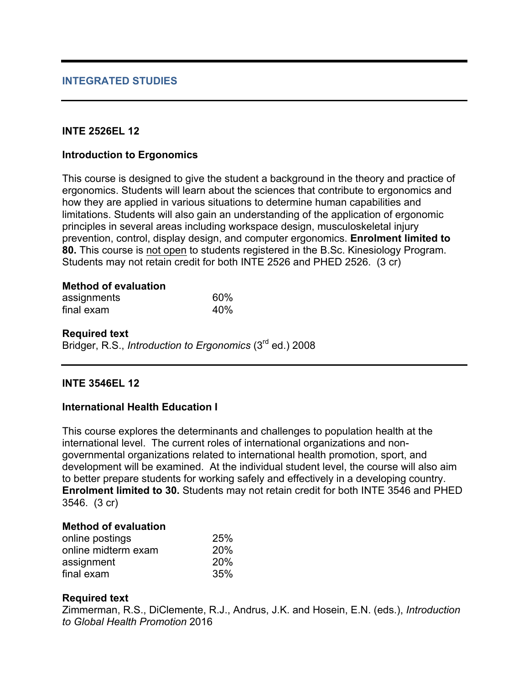### **INTE 2526EL 12**

### **Introduction to Ergonomics**

This course is designed to give the student a background in the theory and practice of ergonomics. Students will learn about the sciences that contribute to ergonomics and how they are applied in various situations to determine human capabilities and limitations. Students will also gain an understanding of the application of ergonomic principles in several areas including workspace design, musculoskeletal injury prevention, control, display design, and computer ergonomics. **Enrolment limited to 80.** This course is not open to students registered in the B.Sc. Kinesiology Program. Students may not retain credit for both INTE 2526 and PHED 2526.(3 cr)

# **Method of evaluation**

| assignments | 60% |
|-------------|-----|
| final exam  | 40% |

**Required text** Bridger, R.S., *Introduction to Ergonomics* (3rd ed.) 2008

#### **INTE 3546EL 12**

#### **International Health Education I**

This course explores the determinants and challenges to population health at the international level. The current roles of international organizations and nongovernmental organizations related to international health promotion, sport, and development will be examined. At the individual student level, the course will also aim to better prepare students for working safely and effectively in a developing country. **Enrolment limited to 30.** Students may not retain credit for both INTE 3546 and PHED 3546.(3 cr)

#### **Method of evaluation**

| online postings     | 25% |
|---------------------|-----|
| online midterm exam | 20% |
| assignment          | 20% |
| final exam          | 35% |

# **Required text**

Zimmerman, R.S., DiClemente, R.J., Andrus, J.K. and Hosein, E.N. (eds.), *Introduction to Global Health Promotion* 2016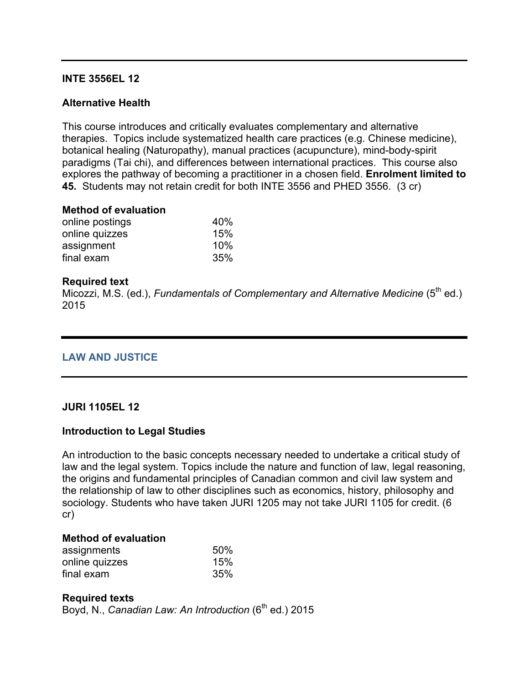### **INTE 3556EL 12**

# **Alternative Health**

This course introduces and critically evaluates complementary and alternative therapies. Topics include systematized health care practices (e.g. Chinese medicine), botanical healing (Naturopathy), manual practices (acupuncture), mind-body-spirit paradigms (Tai chi), and differences between international practices. This course also explores the pathway of becoming a practitioner in a chosen field. **Enrolment limited to 45.** Students may not retain credit for both INTE 3556 and PHED 3556.(3 cr)

### **Method of evaluation**

| 40% |
|-----|
| 15% |
| 10% |
| 35% |
|     |

# **Required text**

Micozzi, M.S. (ed.), *Fundamentals of Complementary and Alternative Medicine* (5<sup>th</sup> ed.) 2015

# **LAW AND JUSTICE**

#### **JURI 1105EL 12**

# **Introduction to Legal Studies**

An introduction to the basic concepts necessary needed to undertake a critical study of law and the legal system. Topics include the nature and function of law, legal reasoning, the origins and fundamental principles of Canadian common and civil law system and the relationship of law to other disciplines such as economics, history, philosophy and sociology. Students who have taken JURI 1205 may not take JURI 1105 for credit. (6 cr)

# **Method of evaluation**

| assignments    | 50% |
|----------------|-----|
| online quizzes | 15% |
| final exam     | 35% |

# **Required texts**

Boyd, N., *Canadian Law: An Introduction* (6<sup>th</sup> ed.) 2015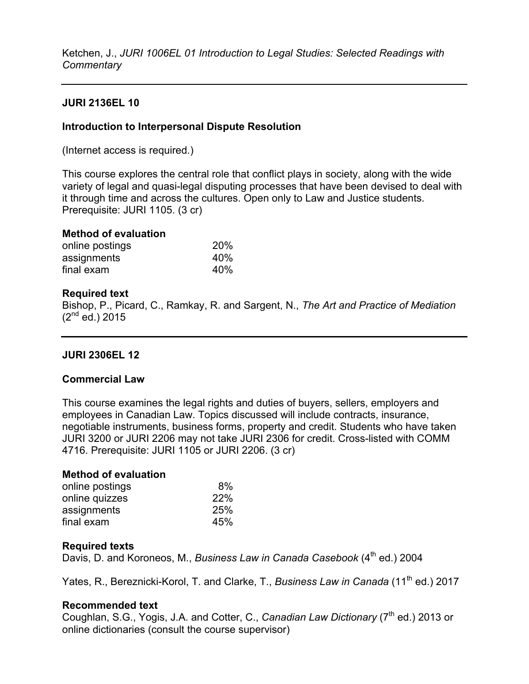Ketchen, J., *JURI 1006EL 01 Introduction to Legal Studies: Selected Readings with Commentary*

# **JURI 2136EL 10**

# **Introduction to Interpersonal Dispute Resolution**

(Internet access is required.)

This course explores the central role that conflict plays in society, along with the wide variety of legal and quasi-legal disputing processes that have been devised to deal with it through time and across the cultures. Open only to Law and Justice students. Prerequisite: JURI 1105. (3 cr)

#### **Method of evaluation**

| online postings | 20% |
|-----------------|-----|
| assignments     | 40% |
| final exam      | 40% |

#### **Required text**

Bishop, P., Picard, C., Ramkay, R. and Sargent, N., *The Art and Practice of Mediation*   $(2^{nd}$  ed.) 2015

#### **JURI 2306EL 12**

#### **Commercial Law**

This course examines the legal rights and duties of buyers, sellers, employers and employees in Canadian Law. Topics discussed will include contracts, insurance, negotiable instruments, business forms, property and credit. Students who have taken JURI 3200 or JURI 2206 may not take JURI 2306 for credit. Cross-listed with COMM 4716. Prerequisite: JURI 1105 or JURI 2206. (3 cr)

#### **Method of evaluation**

| online postings | 8%  |
|-----------------|-----|
| online quizzes  | 22% |
| assignments     | 25% |
| final exam      | 45% |

#### **Required texts**

Davis, D. and Koroneos, M., *Business Law in Canada Casebook* (4<sup>th</sup> ed.) 2004

Yates, R., Bereznicki-Korol, T. and Clarke, T., *Business Law in Canada* (11<sup>th</sup> ed.) 2017

#### **Recommended text**

Coughlan, S.G., Yogis, J.A. and Cotter, C., *Canadian Law Dictionary* (7<sup>th</sup> ed.) 2013 or online dictionaries (consult the course supervisor)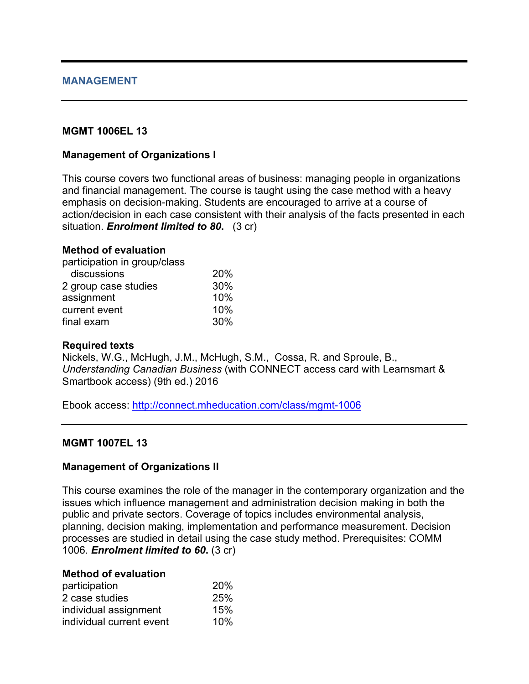### **MANAGEMENT**

### **MGMT 1006EL 13**

#### **Management of Organizations I**

This course covers two functional areas of business: managing people in organizations and financial management. The course is taught using the case method with a heavy emphasis on decision-making. Students are encouraged to arrive at a course of action/decision in each case consistent with their analysis of the facts presented in each situation. *Enrolment limited to 80***.** (3 cr)

#### **Method of evaluation**

| participation in group/class |     |
|------------------------------|-----|
| discussions                  | 20% |
| 2 group case studies         | 30% |
| assignment                   | 10% |
| current event                | 10% |
| final exam                   | 30% |

#### **Required texts**

Nickels, W.G., McHugh, J.M., McHugh, S.M., Cossa, R. and Sproule, B., *Understanding Canadian Business* (with CONNECT access card with Learnsmart & Smartbook access) (9th ed.) 2016

Ebook access: http://connect.mheducation.com/class/mgmt-1006

#### **MGMT 1007EL 13**

#### **Management of Organizations II**

This course examines the role of the manager in the contemporary organization and the issues which influence management and administration decision making in both the public and private sectors. Coverage of topics includes environmental analysis, planning, decision making, implementation and performance measurement. Decision processes are studied in detail using the case study method. Prerequisites: COMM 1006. *Enrolment limited to 60***.** (3 cr)

#### **Method of evaluation**

| participation            | 20% |
|--------------------------|-----|
| 2 case studies           | 25% |
| individual assignment    | 15% |
| individual current event | 10% |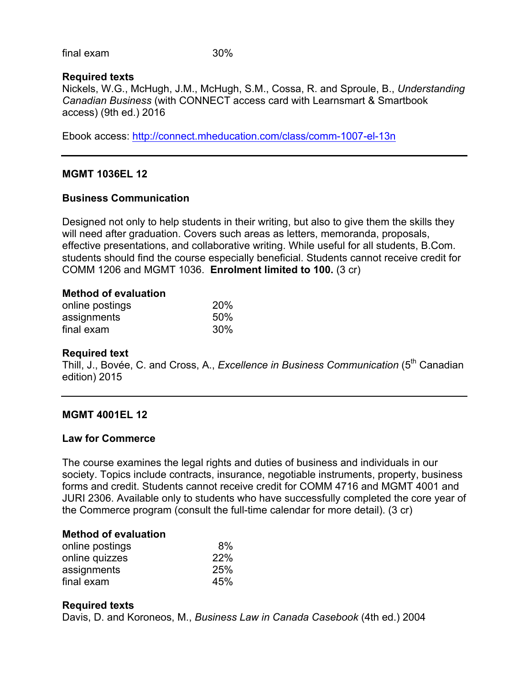final exam 30%

### **Required texts**

Nickels, W.G., McHugh, J.M., McHugh, S.M., Cossa, R. and Sproule, B., *Understanding Canadian Business* (with CONNECT access card with Learnsmart & Smartbook access) (9th ed.) 2016

Ebook access: http://connect.mheducation.com/class/comm-1007-el-13n

# **MGMT 1036EL 12**

### **Business Communication**

Designed not only to help students in their writing, but also to give them the skills they will need after graduation. Covers such areas as letters, memoranda, proposals, effective presentations, and collaborative writing. While useful for all students, B.Com. students should find the course especially beneficial. Students cannot receive credit for COMM 1206 and MGMT 1036. **Enrolment limited to 100.** (3 cr)

#### **Method of evaluation**

| online postings | 20% |
|-----------------|-----|
| assignments     | 50% |
| final exam      | 30% |

#### **Required text**

Thill, J., Bovée, C. and Cross, A., *Excellence in Business Communication* (5<sup>th</sup> Canadian edition) 2015

# **MGMT 4001EL 12**

#### **Law for Commerce**

The course examines the legal rights and duties of business and individuals in our society. Topics include contracts, insurance, negotiable instruments, property, business forms and credit. Students cannot receive credit for COMM 4716 and MGMT 4001 and JURI 2306. Available only to students who have successfully completed the core year of the Commerce program (consult the full-time calendar for more detail). (3 cr)

#### **Method of evaluation**

| online postings | 8%  |
|-----------------|-----|
| online quizzes  | 22% |
| assignments     | 25% |
| final exam      | 45% |

#### **Required texts**

Davis, D. and Koroneos, M., *Business Law in Canada Casebook* (4th ed.) 2004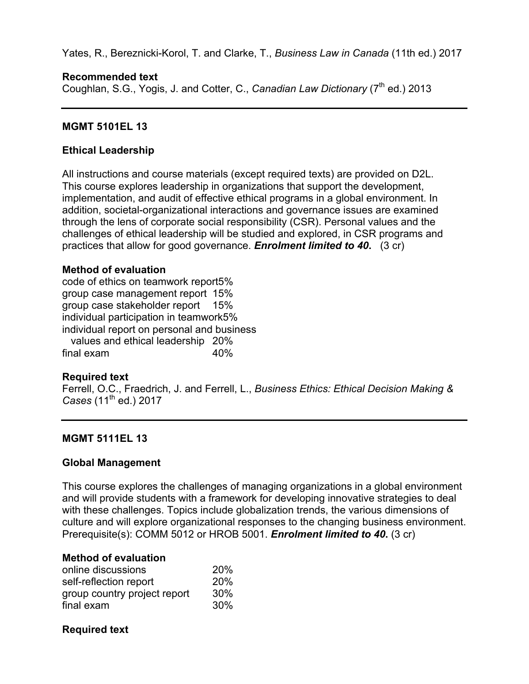Yates, R., Bereznicki-Korol, T. and Clarke, T., *Business Law in Canada* (11th ed.) 2017

# **Recommended text**

Coughlan, S.G., Yogis, J. and Cotter, C., *Canadian Law Dictionary* (7<sup>th</sup> ed.) 2013

# **MGMT 5101EL 13**

# **Ethical Leadership**

All instructions and course materials (except required texts) are provided on D2L. This course explores leadership in organizations that support the development, implementation, and audit of effective ethical programs in a global environment. In addition, societal-organizational interactions and governance issues are examined through the lens of corporate social responsibility (CSR). Personal values and the challenges of ethical leadership will be studied and explored, in CSR programs and practices that allow for good governance. *Enrolment limited to 40***.** (3 cr)

# **Method of evaluation**

code of ethics on teamwork report5% group case management report 15% group case stakeholder report 15% individual participation in teamwork5% individual report on personal and business values and ethical leadership 20% final exam 40%

# **Required text**

Ferrell, O.C., Fraedrich, J. and Ferrell, L., *Business Ethics: Ethical Decision Making & Cases* (11th ed.) 2017

# **MGMT 5111EL 13**

# **Global Management**

This course explores the challenges of managing organizations in a global environment and will provide students with a framework for developing innovative strategies to deal with these challenges. Topics include globalization trends, the various dimensions of culture and will explore organizational responses to the changing business environment. Prerequisite(s): COMM 5012 or HROB 5001. *Enrolment limited to 40***.** (3 cr)

# **Method of evaluation**

| online discussions           | 20% |
|------------------------------|-----|
| self-reflection report       | 20% |
| group country project report | 30% |
| final exam                   | 30% |

# **Required text**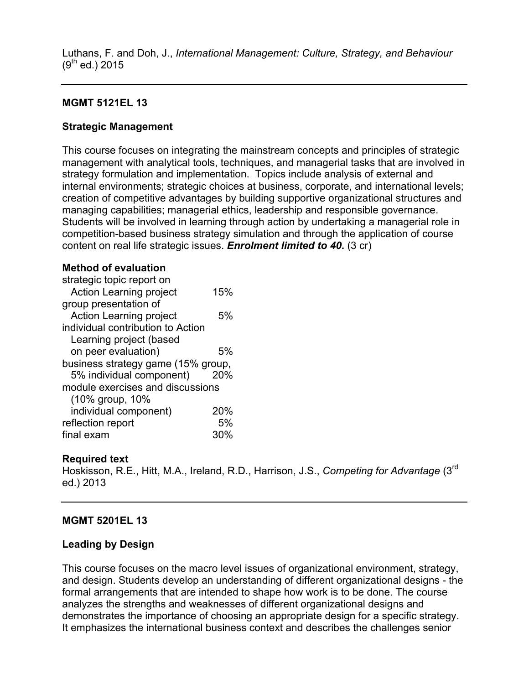Luthans, F. and Doh, J., *International Management: Culture, Strategy, and Behaviour*  $(9^{th}$  ed.) 2015

# **MGMT 5121EL 13**

# **Strategic Management**

This course focuses on integrating the mainstream concepts and principles of strategic management with analytical tools, techniques, and managerial tasks that are involved in strategy formulation and implementation. Topics include analysis of external and internal environments; strategic choices at business, corporate, and international levels; creation of competitive advantages by building supportive organizational structures and managing capabilities; managerial ethics, leadership and responsible governance. Students will be involved in learning through action by undertaking a managerial role in competition-based business strategy simulation and through the application of course content on real life strategic issues. *Enrolment limited to 40***.** (3 cr)

### **Method of evaluation**

| strategic topic report on          |     |
|------------------------------------|-----|
| <b>Action Learning project</b>     | 15% |
| group presentation of              |     |
| <b>Action Learning project</b>     | .5% |
| individual contribution to Action  |     |
| Learning project (based            |     |
| on peer evaluation)                | 5%  |
| business strategy game (15% group, |     |
| 5% individual component)           | 20% |
| module exercises and discussions   |     |
| (10% group, 10%                    |     |
| individual component)              | 20% |
| reflection report                  | 5%  |
| final exam                         | 30% |

# **Required text**

Hoskisson, R.E., Hitt, M.A., Ireland, R.D., Harrison, J.S., *Competing for Advantage* (3rd ed.) 2013

# **MGMT 5201EL 13**

# **Leading by Design**

This course focuses on the macro level issues of organizational environment, strategy, and design. Students develop an understanding of different organizational designs - the formal arrangements that are intended to shape how work is to be done. The course analyzes the strengths and weaknesses of different organizational designs and demonstrates the importance of choosing an appropriate design for a specific strategy. It emphasizes the international business context and describes the challenges senior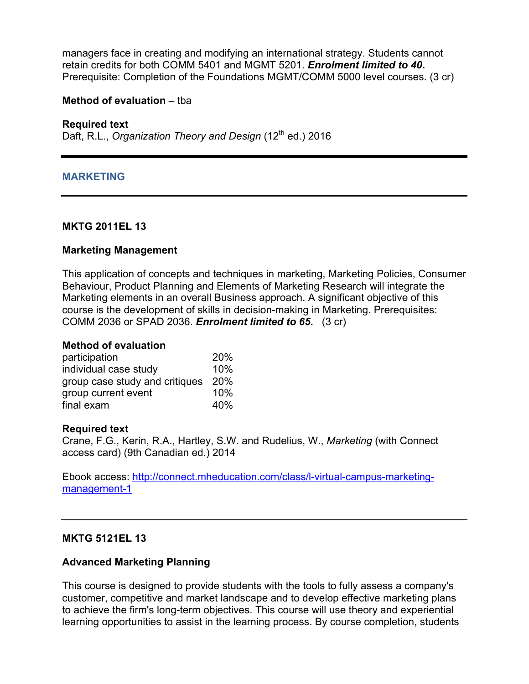managers face in creating and modifying an international strategy. Students cannot retain credits for both COMM 5401 and MGMT 5201. *Enrolment limited to 40***.**  Prerequisite: Completion of the Foundations MGMT/COMM 5000 level courses. (3 cr)

#### **Method of evaluation** – tba

#### **Required text**

Daft, R.L., *Organization Theory and Design* (12<sup>th</sup> ed.) 2016

#### **MARKETING**

#### **MKTG 2011EL 13**

#### **Marketing Management**

This application of concepts and techniques in marketing, Marketing Policies, Consumer Behaviour, Product Planning and Elements of Marketing Research will integrate the Marketing elements in an overall Business approach. A significant objective of this course is the development of skills in decision-making in Marketing. Prerequisites: COMM 2036 or SPAD 2036. *Enrolment limited to 65***.** (3 cr)

#### **Method of evaluation**

| participation                  | 20% |
|--------------------------------|-----|
| individual case study          | 10% |
| group case study and critiques | 20% |
| group current event            | 10% |
| final exam                     | 40% |

#### **Required text**

Crane, F.G., Kerin, R.A., Hartley, S.W. and Rudelius, W., *Marketing* (with Connect access card) (9th Canadian ed.) 2014

Ebook access: http://connect.mheducation.com/class/l-virtual-campus-marketingmanagement-1

#### **MKTG 5121EL 13**

#### **Advanced Marketing Planning**

This course is designed to provide students with the tools to fully assess a company's customer, competitive and market landscape and to develop effective marketing plans to achieve the firm's long-term objectives. This course will use theory and experiential learning opportunities to assist in the learning process. By course completion, students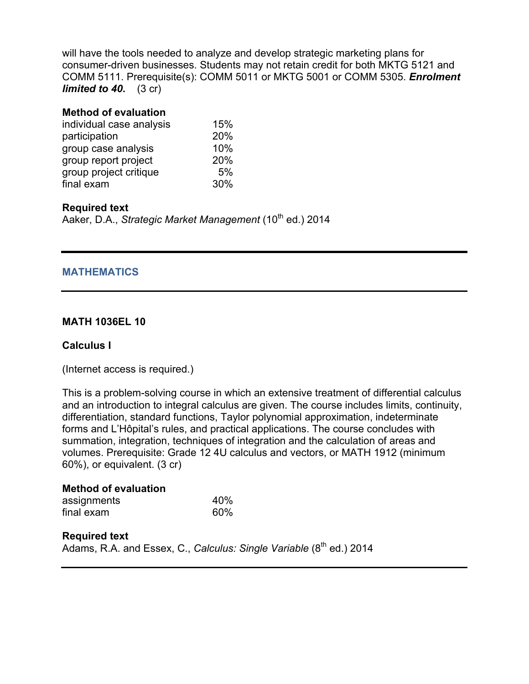will have the tools needed to analyze and develop strategic marketing plans for consumer-driven businesses. Students may not retain credit for both MKTG 5121 and COMM 5111. Prerequisite(s): COMM 5011 or MKTG 5001 or COMM 5305. *Enrolment limited to 40***.** (3 cr)

#### **Method of evaluation**

| individual case analysis | 15% |
|--------------------------|-----|
| participation            | 20% |
| group case analysis      | 10% |
| group report project     | 20% |
| group project critique   | 5%  |
| final exam               | 30% |

### **Required text**

Aaker, D.A., *Strategic Market Management* (10<sup>th</sup> ed.) 2014

#### **MATHEMATICS**

#### **MATH 1036EL 10**

#### **Calculus I**

(Internet access is required.)

This is a problem-solving course in which an extensive treatment of differential calculus and an introduction to integral calculus are given. The course includes limits, continuity, differentiation, standard functions, Taylor polynomial approximation, indeterminate forms and L'Hôpital's rules, and practical applications. The course concludes with summation, integration, techniques of integration and the calculation of areas and volumes. Prerequisite: Grade 12 4U calculus and vectors, or MATH 1912 (minimum 60%), or equivalent. (3 cr)

| <b>Method of evaluation</b> |     |
|-----------------------------|-----|
| assignments                 | 40% |
| final exam                  | 60% |

**Required text** Adams, R.A. and Essex, C., *Calculus: Single Variable* (8<sup>th</sup> ed.) 2014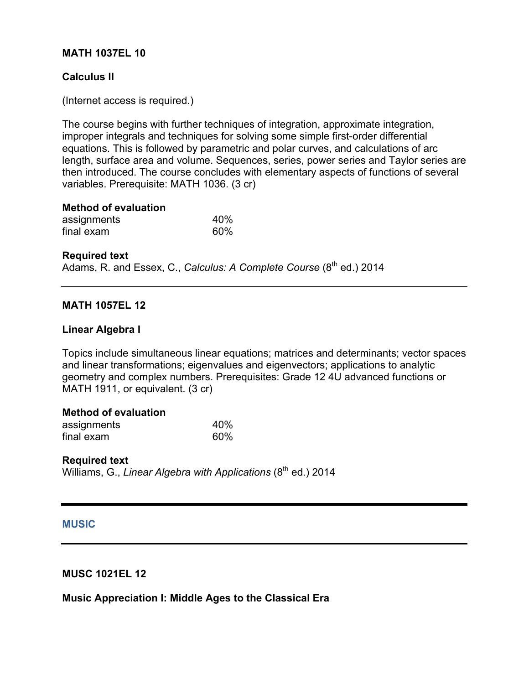### **MATH 1037EL 10**

### **Calculus II**

(Internet access is required.)

The course begins with further techniques of integration, approximate integration, improper integrals and techniques for solving some simple first-order differential equations. This is followed by parametric and polar curves, and calculations of arc length, surface area and volume. Sequences, series, power series and Taylor series are then introduced. The course concludes with elementary aspects of functions of several variables. Prerequisite: MATH 1036. (3 cr)

#### **Method of evaluation**

| assignments | 40% |
|-------------|-----|
| final exam  | 60% |

#### **Required text**

Adams, R. and Essex, C., *Calculus: A Complete Course* (8<sup>th</sup> ed.) 2014

### **MATH 1057EL 12**

#### **Linear Algebra I**

Topics include simultaneous linear equations; matrices and determinants; vector spaces and linear transformations; eigenvalues and eigenvectors; applications to analytic geometry and complex numbers. Prerequisites: Grade 12 4U advanced functions or MATH 1911, or equivalent. (3 cr)

#### **Method of evaluation**

| assignments | 40% |
|-------------|-----|
| final exam  | 60% |

#### **Required text**

Williams, G., *Linear Algebra with Applications* (8<sup>th</sup> ed.) 2014

#### **MUSIC**

### **MUSC 1021EL 12**

#### **Music Appreciation I: Middle Ages to the Classical Era**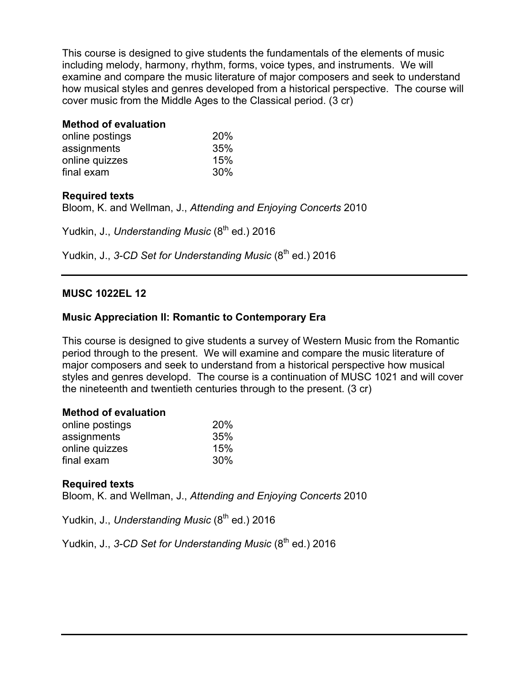This course is designed to give students the fundamentals of the elements of music including melody, harmony, rhythm, forms, voice types, and instruments. We will examine and compare the music literature of major composers and seek to understand how musical styles and genres developed from a historical perspective. The course will cover music from the Middle Ages to the Classical period. (3 cr)

# **Method of evaluation**

| online postings | 20% |
|-----------------|-----|
| assignments     | 35% |
| online quizzes  | 15% |
| final exam      | 30% |

# **Required texts**

Bloom, K. and Wellman, J., *Attending and Enjoying Concerts* 2010

Yudkin, J., *Understanding Music* (8<sup>th</sup> ed.) 2016

Yudkin, J., 3-CD Set for Understanding Music (8<sup>th</sup> ed.) 2016

# **MUSC 1022EL 12**

# **Music Appreciation II: Romantic to Contemporary Era**

This course is designed to give students a survey of Western Music from the Romantic period through to the present. We will examine and compare the music literature of major composers and seek to understand from a historical perspective how musical styles and genres developd. The course is a continuation of MUSC 1021 and will cover the nineteenth and twentieth centuries through to the present. (3 cr)

### **Method of evaluation**

| online postings | 20% |
|-----------------|-----|
| assignments     | 35% |
| online quizzes  | 15% |
| final exam      | 30% |

# **Required texts**

Bloom, K. and Wellman, J., *Attending and Enjoying Concerts* 2010

Yudkin, J., *Understanding Music* (8<sup>th</sup> ed.) 2016

Yudkin, J., 3-CD Set for Understanding Music (8<sup>th</sup> ed.) 2016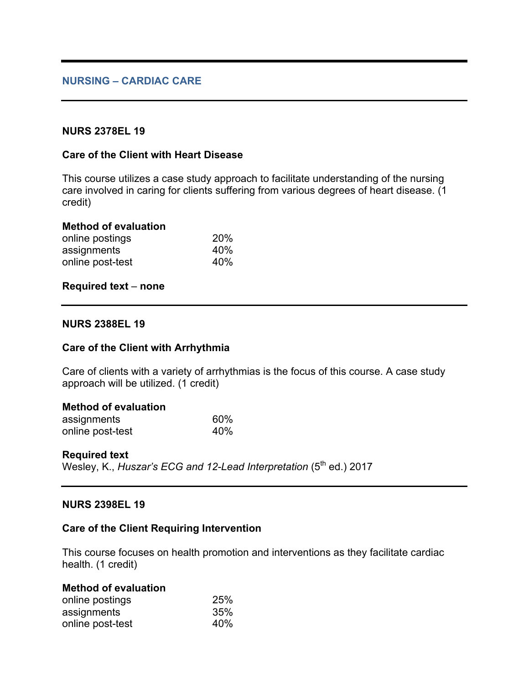### **NURS 2378EL 19**

#### **Care of the Client with Heart Disease**

This course utilizes a case study approach to facilitate understanding of the nursing care involved in caring for clients suffering from various degrees of heart disease. (1 credit)

#### **Method of evaluation**

| online postings  | 20% |  |
|------------------|-----|--|
| assignments      | 40% |  |
| online post-test | 40% |  |

#### **Required text** – **none**

#### **NURS 2388EL 19**

#### **Care of the Client with Arrhythmia**

Care of clients with a variety of arrhythmias is the focus of this course. A case study approach will be utilized. (1 credit)

#### **Method of evaluation**

| assignments      | 60% |
|------------------|-----|
| online post-test | 40% |

#### **Required text**

Wesley, K., *Huszar's ECG and 12-Lead Interpretation* (5<sup>th</sup> ed.) 2017

#### **NURS 2398EL 19**

#### **Care of the Client Requiring Intervention**

This course focuses on health promotion and interventions as they facilitate cardiac health. (1 credit)

| <b>Method of evaluation</b> |     |
|-----------------------------|-----|
| online postings             | 25% |
| assignments                 | 35% |
| online post-test            | 40% |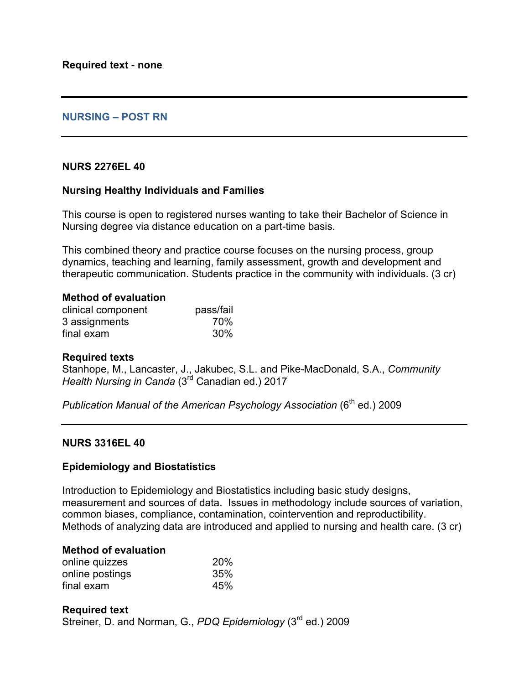### **NURSING – POST RN**

#### **NURS 2276EL 40**

#### **Nursing Healthy Individuals and Families**

This course is open to registered nurses wanting to take their Bachelor of Science in Nursing degree via distance education on a part-time basis.

This combined theory and practice course focuses on the nursing process, group dynamics, teaching and learning, family assessment, growth and development and therapeutic communication. Students practice in the community with individuals. (3 cr)

| <b>Method of evaluation</b> |  |
|-----------------------------|--|
|                             |  |

| clinical component | pass/fail |
|--------------------|-----------|
| 3 assignments      | 70%       |
| final exam         | 30%       |

#### **Required texts**

Stanhope, M., Lancaster, J., Jakubec, S.L. and Pike-MacDonald, S.A., *Community Health Nursing in Canda* (3rd Canadian ed.) 2017

*Publication Manual of the American Psychology Association* (6<sup>th</sup> ed.) 2009

#### **NURS 3316EL 40**

#### **Epidemiology and Biostatistics**

Introduction to Epidemiology and Biostatistics including basic study designs, measurement and sources of data. Issues in methodology include sources of variation, common biases, compliance, contamination, cointervention and reproductibility. Methods of analyzing data are introduced and applied to nursing and health care. (3 cr)

#### **Method of evaluation**

| online quizzes  | 20% |
|-----------------|-----|
| online postings | 35% |
| final exam      | 45% |

#### **Required text** Streiner, D. and Norman, G., *PDQ Epidemiology* (3<sup>rd</sup> ed.) 2009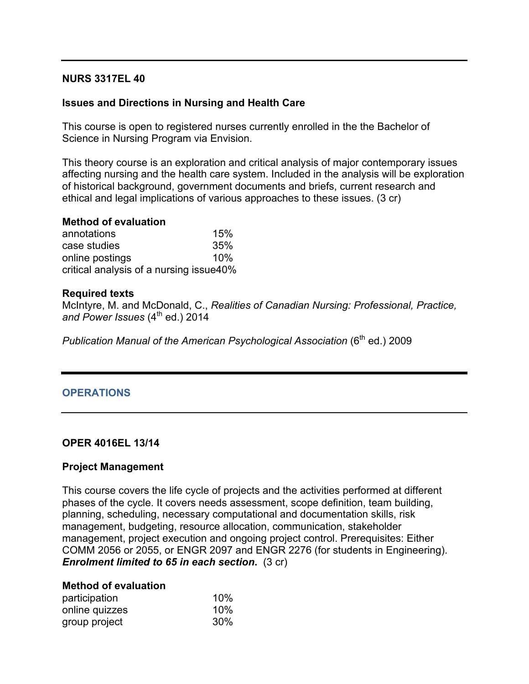### **NURS 3317EL 40**

### **Issues and Directions in Nursing and Health Care**

This course is open to registered nurses currently enrolled in the the Bachelor of Science in Nursing Program via Envision.

This theory course is an exploration and critical analysis of major contemporary issues affecting nursing and the health care system. Included in the analysis will be exploration of historical background, government documents and briefs, current research and ethical and legal implications of various approaches to these issues. (3 cr)

#### **Method of evaluation**

| annotations                             | 15% |
|-----------------------------------------|-----|
| case studies                            | 35% |
| online postings                         | 10% |
| critical analysis of a nursing issue40% |     |

#### **Required texts**

McIntyre, M. and McDonald, C., *Realities of Canadian Nursing: Professional, Practice,*  and Power Issues (4<sup>th</sup> ed.) 2014

*Publication Manual of the American Psychological Association* (6<sup>th</sup> ed.) 2009

#### **OPERATIONS**

#### **OPER 4016EL 13/14**

#### **Project Management**

This course covers the life cycle of projects and the activities performed at different phases of the cycle. It covers needs assessment, scope definition, team building, planning, scheduling, necessary computational and documentation skills, risk management, budgeting, resource allocation, communication, stakeholder management, project execution and ongoing project control. Prerequisites: Either COMM 2056 or 2055, or ENGR 2097 and ENGR 2276 (for students in Engineering). *Enrolment limited to 65 in each section***.** (3 cr)

#### **Method of evaluation**

| participation  | 10% |
|----------------|-----|
| online quizzes | 10% |
| group project  | 30% |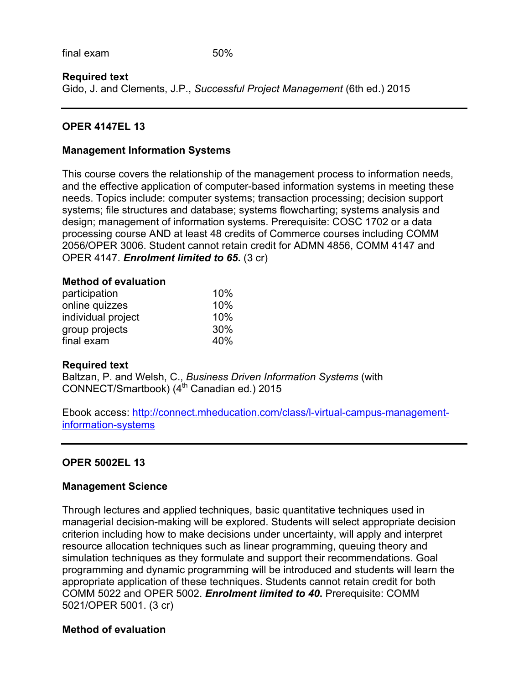### **Required text**

Gido, J. and Clements, J.P., *Successful Project Management* (6th ed.) 2015

### **OPER 4147EL 13**

#### **Management Information Systems**

This course covers the relationship of the management process to information needs, and the effective application of computer-based information systems in meeting these needs. Topics include: computer systems; transaction processing; decision support systems; file structures and database; systems flowcharting; systems analysis and design; management of information systems. Prerequisite: COSC 1702 or a data processing course AND at least 48 credits of Commerce courses including COMM 2056/OPER 3006. Student cannot retain credit for ADMN 4856, COMM 4147 and OPER 4147. *Enrolment limited to 65***.** (3 cr)

#### **Method of evaluation**

| participation      | 10%    |
|--------------------|--------|
| online quizzes     | 10%    |
| individual project | 10%    |
| group projects     | $30\%$ |
| final exam         | 40%    |

#### **Required text**

Baltzan, P. and Welsh, C., *Business Driven Information Systems* (with CONNECT/Smartbook) (4<sup>th</sup> Canadian ed.) 2015

Ebook access: http://connect.mheducation.com/class/l-virtual-campus-managementinformation-systems

#### **OPER 5002EL 13**

#### **Management Science**

Through lectures and applied techniques, basic quantitative techniques used in managerial decision-making will be explored. Students will select appropriate decision criterion including how to make decisions under uncertainty, will apply and interpret resource allocation techniques such as linear programming, queuing theory and simulation techniques as they formulate and support their recommendations. Goal programming and dynamic programming will be introduced and students will learn the appropriate application of these techniques. Students cannot retain credit for both COMM 5022 and OPER 5002. *Enrolment limited to 40***.** Prerequisite: COMM 5021/OPER 5001. (3 cr)

#### **Method of evaluation**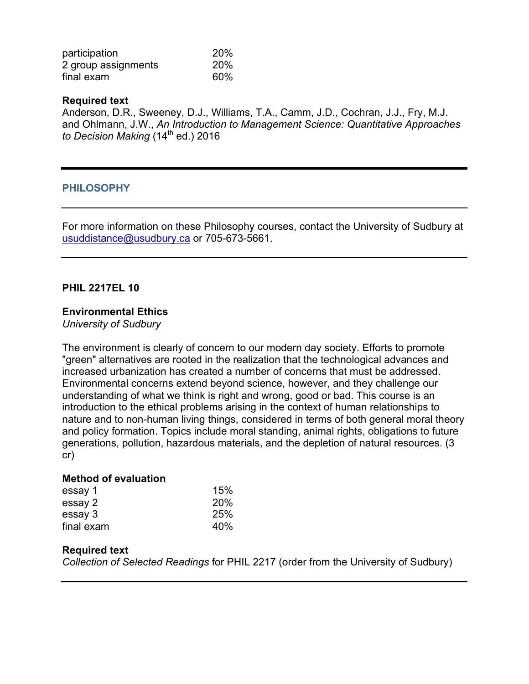| participation       | 20% |
|---------------------|-----|
| 2 group assignments | 20% |
| final exam          | 60% |

#### **Required text**

Anderson, D.R., Sweeney, D.J., Williams, T.A., Camm, J.D., Cochran, J.J., Fry, M.J. and Ohlmann, J.W., *An Introduction to Management Science: Quantitative Approaches to Decision Making* (14<sup>th</sup> ed.) 2016

### **PHILOSOPHY**

For more information on these Philosophy courses, contact the University of Sudbury at usuddistance@usudbury.ca or 705-673-5661.

### **PHIL 2217EL 10**

#### **Environmental Ethics**

*University of Sudbury*

The environment is clearly of concern to our modern day society. Efforts to promote "green" alternatives are rooted in the realization that the technological advances and increased urbanization has created a number of concerns that must be addressed. Environmental concerns extend beyond science, however, and they challenge our understanding of what we think is right and wrong, good or bad. This course is an introduction to the ethical problems arising in the context of human relationships to nature and to non-human living things, considered in terms of both general moral theory and policy formation. Topics include moral standing, animal rights, obligations to future generations, pollution, hazardous materials, and the depletion of natural resources. (3 cr)

#### **Method of evaluation**

| essay 1    | 15%        |
|------------|------------|
| essay 2    | <b>20%</b> |
| essay 3    | 25%        |
| final exam | 40%        |

#### **Required text**

*Collection of Selected Readings* for PHIL 2217 (order from the University of Sudbury)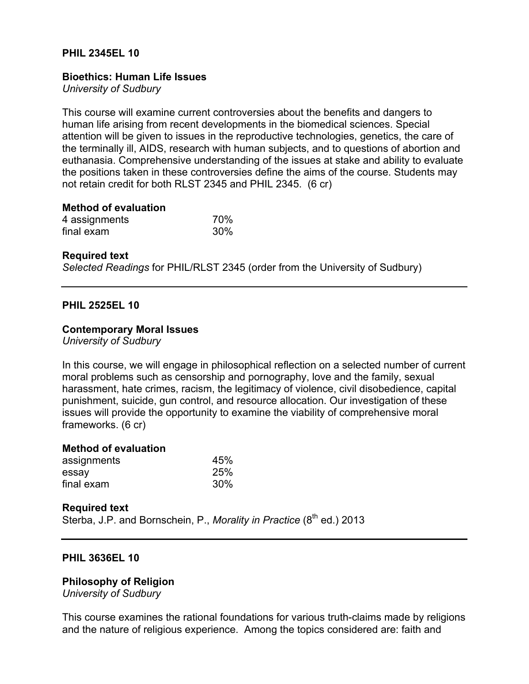### **PHIL 2345EL 10**

#### **Bioethics: Human Life Issues**

*University of Sudbury*

This course will examine current controversies about the benefits and dangers to human life arising from recent developments in the biomedical sciences. Special attention will be given to issues in the reproductive technologies, genetics, the care of the terminally ill, AIDS, research with human subjects, and to questions of abortion and euthanasia. Comprehensive understanding of the issues at stake and ability to evaluate the positions taken in these controversies define the aims of the course. Students may not retain credit for both RLST 2345 and PHIL 2345. (6 cr)

#### **Method of evaluation**

| 4 assignments | 70% |
|---------------|-----|
| final exam    | 30% |

#### **Required text**

*Selected Readings* for PHIL/RLST 2345 (order from the University of Sudbury)

#### **PHIL 2525EL 10**

#### **Contemporary Moral Issues**

*University of Sudbury*

In this course, we will engage in philosophical reflection on a selected number of current moral problems such as censorship and pornography, love and the family, sexual harassment, hate crimes, racism, the legitimacy of violence, civil disobedience, capital punishment, suicide, gun control, and resource allocation. Our investigation of these issues will provide the opportunity to examine the viability of comprehensive moral frameworks. (6 cr)

#### **Method of evaluation**

| assignments | 45% |
|-------------|-----|
| essay       | 25% |
| final exam  | 30% |

#### **Required text**

Sterba, J.P. and Bornschein, P., *Morality in Practice* (8<sup>th</sup> ed.) 2013

#### **PHIL 3636EL 10**

**Philosophy of Religion**

*University of Sudbury*

This course examines the rational foundations for various truth-claims made by religions and the nature of religious experience. Among the topics considered are: faith and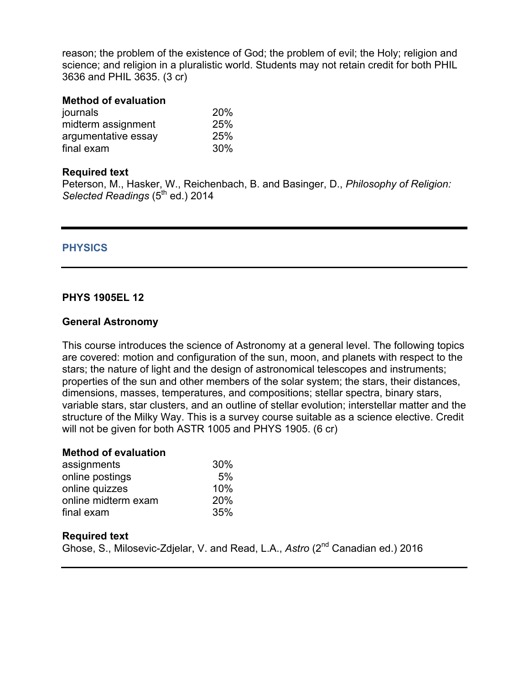reason; the problem of the existence of God; the problem of evil; the Holy; religion and science; and religion in a pluralistic world. Students may not retain credit for both PHIL 3636 and PHIL 3635. (3 cr)

#### **Method of evaluation**

| 20% |
|-----|
| 25% |
| 25% |
| 30% |
|     |

#### **Required text**

Peterson, M., Hasker, W., Reichenbach, B. and Basinger, D., *Philosophy of Religion: Selected Readings* (5th ed.) 2014

### **PHYSICS**

### **PHYS 1905EL 12**

#### **General Astronomy**

This course introduces the science of Astronomy at a general level. The following topics are covered: motion and configuration of the sun, moon, and planets with respect to the stars; the nature of light and the design of astronomical telescopes and instruments; properties of the sun and other members of the solar system; the stars, their distances, dimensions, masses, temperatures, and compositions; stellar spectra, binary stars, variable stars, star clusters, and an outline of stellar evolution; interstellar matter and the structure of the Milky Way. This is a survey course suitable as a science elective. Credit will not be given for both ASTR 1005 and PHYS 1905. (6 cr)

#### **Method of evaluation**

| assignments         | 30%        |
|---------------------|------------|
| online postings     | 5%         |
| online quizzes      | 10%        |
| online midterm exam | <b>20%</b> |
| final exam          | 35%        |

#### **Required text**

Ghose, S., Milosevic-Zdjelar, V. and Read, L.A., Astro (2<sup>nd</sup> Canadian ed.) 2016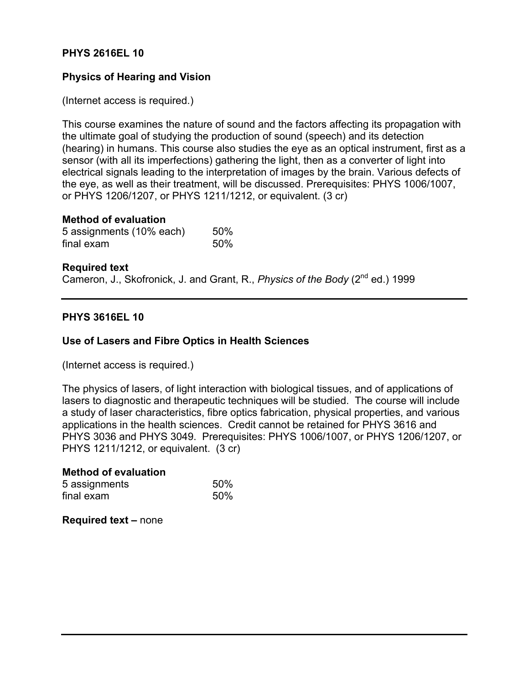### **PHYS 2616EL 10**

# **Physics of Hearing and Vision**

(Internet access is required.)

This course examines the nature of sound and the factors affecting its propagation with the ultimate goal of studying the production of sound (speech) and its detection (hearing) in humans. This course also studies the eye as an optical instrument, first as a sensor (with all its imperfections) gathering the light, then as a converter of light into electrical signals leading to the interpretation of images by the brain. Various defects of the eye, as well as their treatment, will be discussed. Prerequisites: PHYS 1006/1007, or PHYS 1206/1207, or PHYS 1211/1212, or equivalent. (3 cr)

#### **Method of evaluation**

| 5 assignments (10% each) | 50% |
|--------------------------|-----|
| final exam               | 50% |

#### **Required text**

Cameron, J., Skofronick, J. and Grant, R., *Physics of the Body* (2<sup>nd</sup> ed.) 1999

#### **PHYS 3616EL 10**

#### **Use of Lasers and Fibre Optics in Health Sciences**

(Internet access is required.)

The physics of lasers, of light interaction with biological tissues, and of applications of lasers to diagnostic and therapeutic techniques will be studied. The course will include a study of laser characteristics, fibre optics fabrication, physical properties, and various applications in the health sciences. Credit cannot be retained for PHYS 3616 and PHYS 3036 and PHYS 3049. Prerequisites: PHYS 1006/1007, or PHYS 1206/1207, or PHYS 1211/1212, or equivalent. (3 cr)

# **Method of evaluation** 5 assignments 50% final exam 50%

**Required text –** none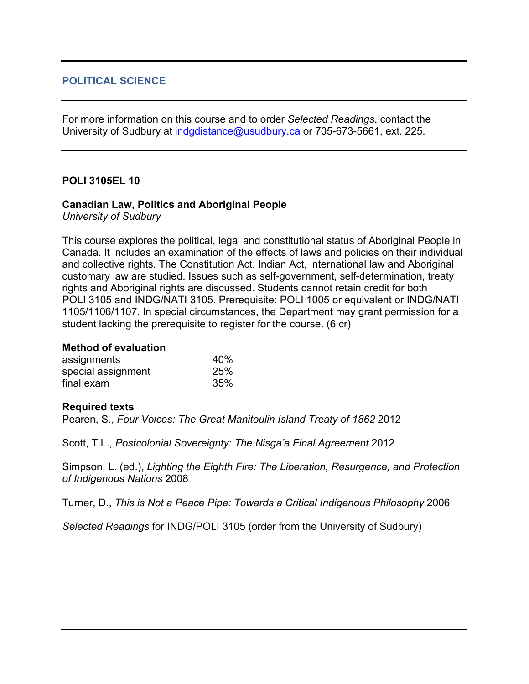# **POLITICAL SCIENCE**

For more information on this course and to order *Selected Readings*, contact the University of Sudbury at indgdistance@usudbury.ca or 705-673-5661, ext. 225.

### **POLI 3105EL 10**

### **Canadian Law, Politics and Aboriginal People**

*University of Sudbury*

This course explores the political, legal and constitutional status of Aboriginal People in Canada. It includes an examination of the effects of laws and policies on their individual and collective rights. The Constitution Act, Indian Act, international law and Aboriginal customary law are studied. Issues such as self-government, self-determination, treaty rights and Aboriginal rights are discussed. Students cannot retain credit for both POLI 3105 and INDG/NATI 3105. Prerequisite: POLI 1005 or equivalent or INDG/NATI 1105/1106/1107. In special circumstances, the Department may grant permission for a student lacking the prerequisite to register for the course. (6 cr)

#### **Method of evaluation**

| assignments        | 40% |
|--------------------|-----|
| special assignment | 25% |
| final exam         | 35% |

#### **Required texts**

Pearen, S., *Four Voices: The Great Manitoulin Island Treaty of 1862* 2012

Scott, T.L., *Postcolonial Sovereignty: The Nisga'a Final Agreement* 2012

Simpson, L. (ed.), *Lighting the Eighth Fire: The Liberation, Resurgence, and Protection of Indigenous Nations* 2008

Turner, D., *This is Not a Peace Pipe: Towards a Critical Indigenous Philosophy* 2006

*Selected Readings* for INDG/POLI 3105 (order from the University of Sudbury)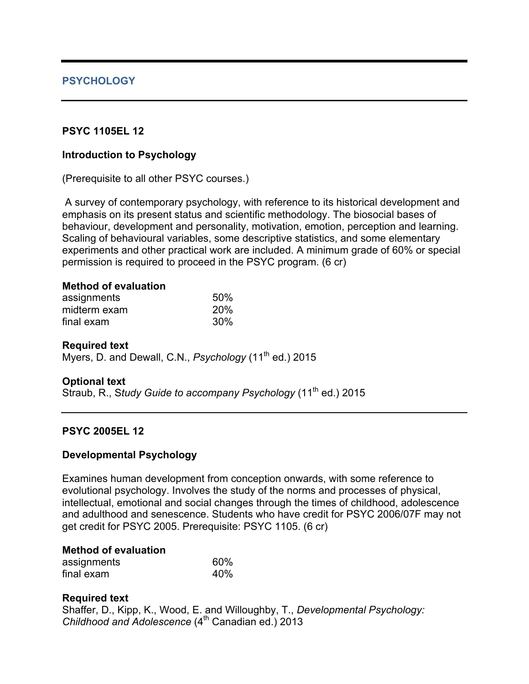# **PSYCHOLOGY**

# **PSYC 1105EL 12**

### **Introduction to Psychology**

(Prerequisite to all other PSYC courses.)

A survey of contemporary psychology, with reference to its historical development and emphasis on its present status and scientific methodology. The biosocial bases of behaviour, development and personality, motivation, emotion, perception and learning. Scaling of behavioural variables, some descriptive statistics, and some elementary experiments and other practical work are included. A minimum grade of 60% or special permission is required to proceed in the PSYC program. (6 cr)

# **Method of evaluation**

| assignments  | 50% |
|--------------|-----|
| midterm exam | 20% |
| final exam   | 30% |

#### **Required text**

Myers, D. and Dewall, C.N., *Psychology* (11<sup>th</sup> ed.) 2015

# **Optional text**

Straub, R., Study Guide to accompany Psychology (11<sup>th</sup> ed.) 2015

# **PSYC 2005EL 12**

# **Developmental Psychology**

Examines human development from conception onwards, with some reference to evolutional psychology. Involves the study of the norms and processes of physical, intellectual, emotional and social changes through the times of childhood, adolescence and adulthood and senescence. Students who have credit for PSYC 2006/07F may not get credit for PSYC 2005. Prerequisite: PSYC 1105. (6 cr)

# **Method of evaluation**

| assignments | 60% |
|-------------|-----|
| final exam  | 40% |

# **Required text**

Shaffer, D., Kipp, K., Wood, E. and Willoughby, T., *Developmental Psychology: Childhood and Adolescence* (4<sup>th</sup> Canadian ed.) 2013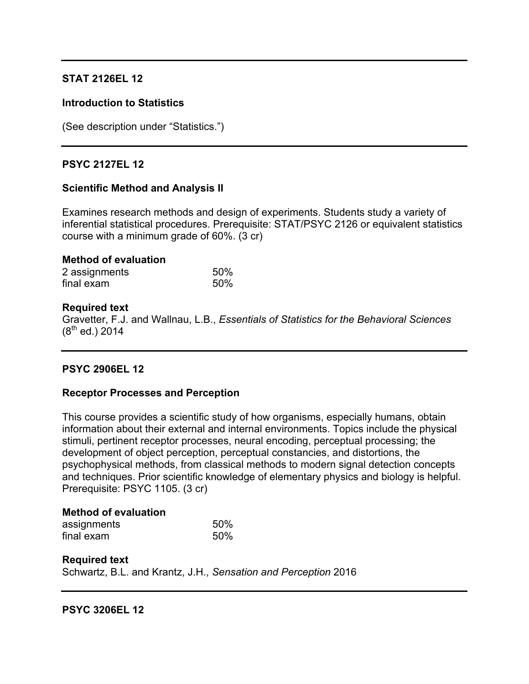# **STAT 2126EL 12**

### **Introduction to Statistics**

(See description under "Statistics.")

# **PSYC 2127EL 12**

### **Scientific Method and Analysis II**

Examines research methods and design of experiments. Students study a variety of inferential statistical procedures. Prerequisite: STAT/PSYC 2126 or equivalent statistics course with a minimum grade of 60%. (3 cr)

#### **Method of evaluation**

| 2 assignments | 50% |
|---------------|-----|
| final exam    | 50% |

### **Required text**

Gravetter, F.J. and Wallnau, L.B., *Essentials of Statistics for the Behavioral Sciences*  $(8^{th}$  ed.) 2014

# **PSYC 2906EL 12**

#### **Receptor Processes and Perception**

This course provides a scientific study of how organisms, especially humans, obtain information about their external and internal environments. Topics include the physical stimuli, pertinent receptor processes, neural encoding, perceptual processing; the development of object perception, perceptual constancies, and distortions, the psychophysical methods, from classical methods to modern signal detection concepts and techniques. Prior scientific knowledge of elementary physics and biology is helpful. Prerequisite: PSYC 1105. (3 cr)

#### **Method of evaluation**

| assignments | 50% |
|-------------|-----|
| final exam  | 50% |

#### **Required text**

Schwartz, B.L. and Krantz, J.H., *Sensation and Perception* 2016

**PSYC 3206EL 12**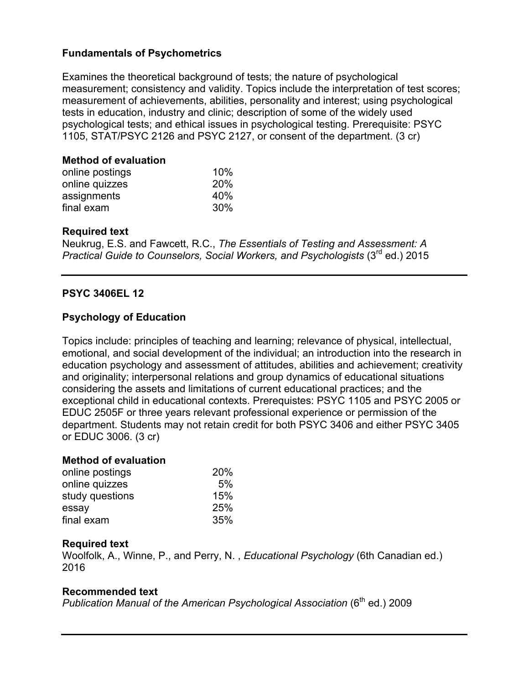# **Fundamentals of Psychometrics**

Examines the theoretical background of tests; the nature of psychological measurement; consistency and validity. Topics include the interpretation of test scores; measurement of achievements, abilities, personality and interest; using psychological tests in education, industry and clinic; description of some of the widely used psychological tests; and ethical issues in psychological testing. Prerequisite: PSYC 1105, STAT/PSYC 2126 and PSYC 2127, or consent of the department. (3 cr)

# **Method of evaluation**

| online postings | 10%        |
|-----------------|------------|
| online quizzes  | <b>20%</b> |
| assignments     | 40%        |
| final exam      | 30%        |

# **Required text**

Neukrug, E.S. and Fawcett, R.C., *The Essentials of Testing and Assessment: A Practical Guide to Counselors, Social Workers, and Psychologists* (3rd ed.) 2015

# **PSYC 3406EL 12**

# **Psychology of Education**

Topics include: principles of teaching and learning; relevance of physical, intellectual, emotional, and social development of the individual; an introduction into the research in education psychology and assessment of attitudes, abilities and achievement; creativity and originality; interpersonal relations and group dynamics of educational situations considering the assets and limitations of current educational practices; and the exceptional child in educational contexts. Prerequistes: PSYC 1105 and PSYC 2005 or EDUC 2505F or three years relevant professional experience or permission of the department. Students may not retain credit for both PSYC 3406 and either PSYC 3405 or EDUC 3006. (3 cr)

# **Method of evaluation**

| online postings | 20% |
|-----------------|-----|
| online quizzes  | 5%  |
| study questions | 15% |
| essay           | 25% |
| final exam      | 35% |

# **Required text**

Woolfolk, A., Winne, P., and Perry, N. , *Educational Psychology* (6th Canadian ed.) 2016

# **Recommended text**

*Publication Manual of the American Psychological Association* (6<sup>th</sup> ed.) 2009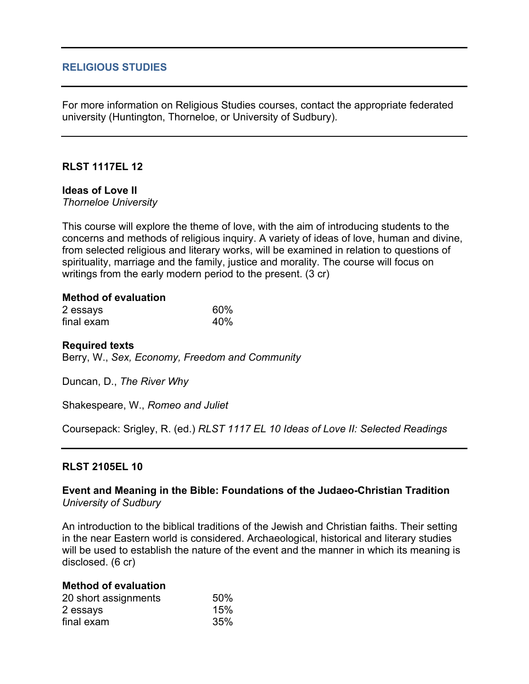### **RELIGIOUS STUDIES**

For more information on Religious Studies courses, contact the appropriate federated university (Huntington, Thorneloe, or University of Sudbury).

# **RLST 1117EL 12**

# **Ideas of Love II**

*Thorneloe University*

This course will explore the theme of love, with the aim of introducing students to the concerns and methods of religious inquiry. A variety of ideas of love, human and divine, from selected religious and literary works, will be examined in relation to questions of spirituality, marriage and the family, justice and morality. The course will focus on writings from the early modern period to the present. (3 cr)

#### **Method of evaluation**

| 2 essays   | 60% |
|------------|-----|
| final exam | 40% |

#### **Required texts**

Berry, W., *Sex, Economy, Freedom and Community*

Duncan, D., *The River Why*

Shakespeare, W., *Romeo and Juliet*

Coursepack: Srigley, R. (ed.) *RLST 1117 EL 10 Ideas of Love II: Selected Readings*

#### **RLST 2105EL 10**

#### **Event and Meaning in the Bible: Foundations of the Judaeo-Christian Tradition** *University of Sudbury*

An introduction to the biblical traditions of the Jewish and Christian faiths. Their setting in the near Eastern world is considered. Archaeological, historical and literary studies will be used to establish the nature of the event and the manner in which its meaning is disclosed. (6 cr)

#### **Method of evaluation**

| 20 short assignments | 50% |
|----------------------|-----|
| 2 essays             | 15% |
| final exam           | 35% |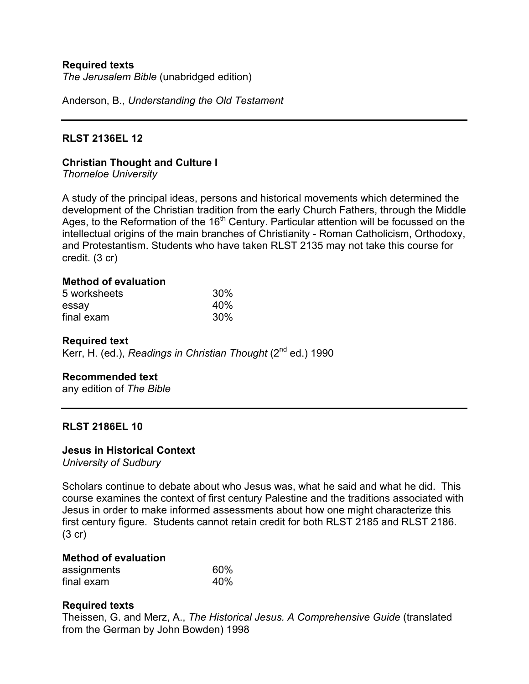### **Required texts**

*The Jerusalem Bible* (unabridged edition)

Anderson, B., *Understanding the Old Testament*

### **RLST 2136EL 12**

#### **Christian Thought and Culture I**

*Thorneloe University*

A study of the principal ideas, persons and historical movements which determined the development of the Christian tradition from the early Church Fathers, through the Middle Ages, to the Reformation of the 16<sup>th</sup> Century. Particular attention will be focussed on the intellectual origins of the main branches of Christianity - Roman Catholicism, Orthodoxy, and Protestantism. Students who have taken RLST 2135 may not take this course for credit. (3 cr)

#### **Method of evaluation**

| 5 worksheets | 30% |
|--------------|-----|
| essay        | 40% |
| final exam   | 30% |

#### **Required text**

Kerr, H. (ed.), *Readings in Christian Thought* (2<sup>nd</sup> ed.) 1990

#### **Recommended text**

any edition of *The Bible*

#### **RLST 2186EL 10**

#### **Jesus in Historical Context**

*University of Sudbury*

Scholars continue to debate about who Jesus was, what he said and what he did. This course examines the context of first century Palestine and the traditions associated with Jesus in order to make informed assessments about how one might characterize this first century figure. Students cannot retain credit for both RLST 2185 and RLST 2186. (3 cr)

# **Method of evaluation**

| assignments | 60% |
|-------------|-----|
| final exam  | 40% |

#### **Required texts**

Theissen, G. and Merz, A., *The Historical Jesus. A Comprehensive Guide* (translated from the German by John Bowden) 1998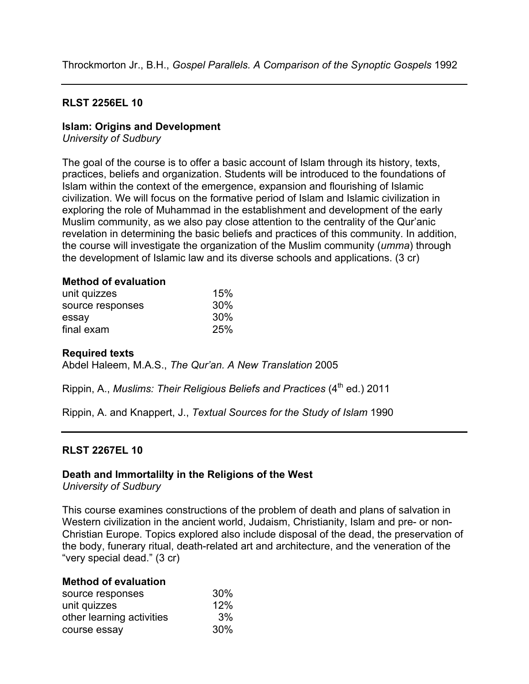### **RLST 2256EL 10**

### **Islam: Origins and Development**

*University of Sudbury*

The goal of the course is to offer a basic account of Islam through its history, texts, practices, beliefs and organization. Students will be introduced to the foundations of Islam within the context of the emergence, expansion and flourishing of Islamic civilization. We will focus on the formative period of Islam and Islamic civilization in exploring the role of Muhammad in the establishment and development of the early Muslim community, as we also pay close attention to the centrality of the Qur'anic revelation in determining the basic beliefs and practices of this community. In addition, the course will investigate the organization of the Muslim community (*umma*) through the development of Islamic law and its diverse schools and applications. (3 cr)

### **Method of evaluation**

| unit quizzes     | 15% |
|------------------|-----|
| source responses | 30% |
| essay            | 30% |
| final exam       | 25% |

#### **Required texts**

Abdel Haleem, M.A.S., *The Qur'an. A New Translation* 2005

Rippin, A., *Muslims: Their Religious Beliefs and Practices* (4<sup>th</sup> ed.) 2011

Rippin, A. and Knappert, J., *Textual Sources for the Study of Islam* 1990

#### **RLST 2267EL 10**

# **Death and Immortalilty in the Religions of the West**

*University of Sudbury*

This course examines constructions of the problem of death and plans of salvation in Western civilization in the ancient world, Judaism, Christianity, Islam and pre- or non-Christian Europe. Topics explored also include disposal of the dead, the preservation of the body, funerary ritual, death-related art and architecture, and the veneration of the "very special dead." (3 cr)

#### **Method of evaluation**

| source responses          | $30\%$ |
|---------------------------|--------|
| unit quizzes              | 12%    |
| other learning activities | 3%     |
| course essay              | $30\%$ |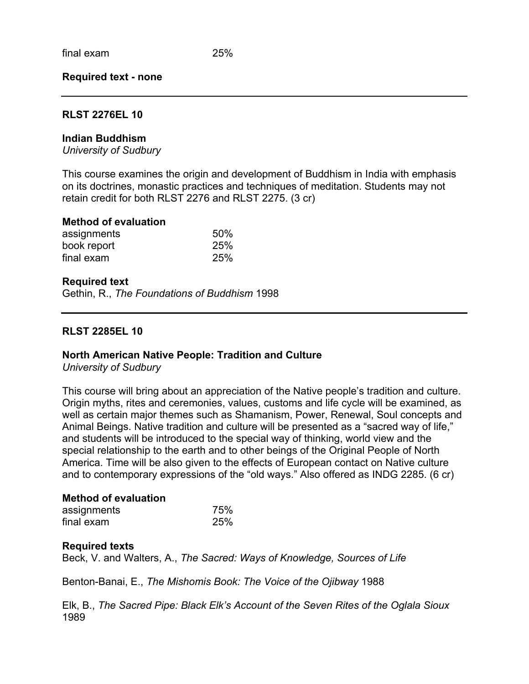#### **Required text - none**

#### **RLST 2276EL 10**

#### **Indian Buddhism**

*University of Sudbury*

This course examines the origin and development of Buddhism in India with emphasis on its doctrines, monastic practices and techniques of meditation. Students may not retain credit for both RLST 2276 and RLST 2275. (3 cr)

#### **Method of evaluation**

| assignments | 50% |
|-------------|-----|
| book report | 25% |
| final exam  | 25% |

#### **Required text**

Gethin, R., *The Foundations of Buddhism* 1998

#### **RLST 2285EL 10**

#### **North American Native People: Tradition and Culture**

*University of Sudbury*

This course will bring about an appreciation of the Native people's tradition and culture. Origin myths, rites and ceremonies, values, customs and life cycle will be examined, as well as certain major themes such as Shamanism, Power, Renewal, Soul concepts and Animal Beings. Native tradition and culture will be presented as a "sacred way of life," and students will be introduced to the special way of thinking, world view and the special relationship to the earth and to other beings of the Original People of North America. Time will be also given to the effects of European contact on Native culture and to contemporary expressions of the "old ways." Also offered as INDG 2285. (6 cr)

#### **Method of evaluation**

| assignments | 75% |
|-------------|-----|
| final exam  | 25% |

#### **Required texts**

Beck, V. and Walters, A., *The Sacred: Ways of Knowledge, Sources of Life*

Benton-Banai, E., *The Mishomis Book: The Voice of the Ojibway* 1988

Elk, B., *The Sacred Pipe: Black Elk's Account of the Seven Rites of the Oglala Sioux*  1989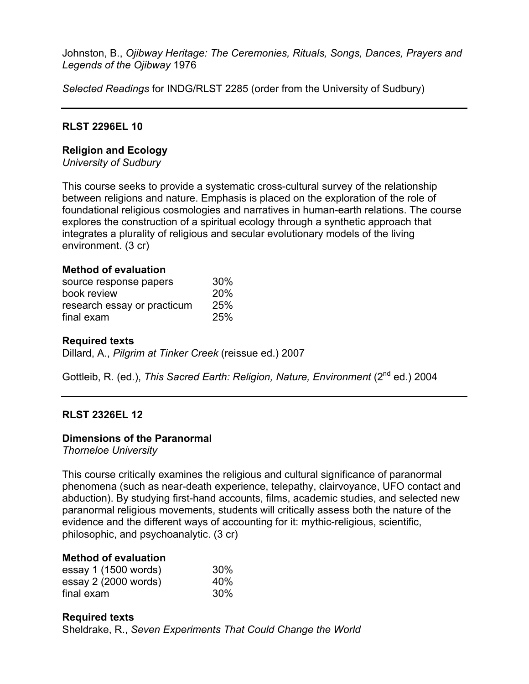Johnston, B., *Ojibway Heritage: The Ceremonies, Rituals, Songs, Dances, Prayers and Legends of the Ojibway* 1976

*Selected Readings* for INDG/RLST 2285 (order from the University of Sudbury)

# **RLST 2296EL 10**

# **Religion and Ecology**

*University of Sudbury*

This course seeks to provide a systematic cross-cultural survey of the relationship between religions and nature. Emphasis is placed on the exploration of the role of foundational religious cosmologies and narratives in human-earth relations. The course explores the construction of a spiritual ecology through a synthetic approach that integrates a plurality of religious and secular evolutionary models of the living environment. (3 cr)

# **Method of evaluation**

| source response papers      | 30% |
|-----------------------------|-----|
| book review                 | 20% |
| research essay or practicum | 25% |
| final exam                  | 25% |

### **Required texts**

Dillard, A., *Pilgrim at Tinker Creek* (reissue ed.) 2007

Gottleib, R. (ed.), *This Sacred Earth: Religion, Nature, Environment* (2<sup>nd</sup> ed.) 2004

# **RLST 2326EL 12**

# **Dimensions of the Paranormal**

*Thorneloe University*

This course critically examines the religious and cultural significance of paranormal phenomena (such as near-death experience, telepathy, clairvoyance, UFO contact and abduction). By studying first-hand accounts, films, academic studies, and selected new paranormal religious movements, students will critically assess both the nature of the evidence and the different ways of accounting for it: mythic-religious, scientific, philosophic, and psychoanalytic. (3 cr)

### **Method of evaluation**

| essay 1 (1500 words) | 30% |
|----------------------|-----|
| essay 2 (2000 words) | 40% |
| final exam           | 30% |

# **Required texts** Sheldrake, R., *Seven Experiments That Could Change the World*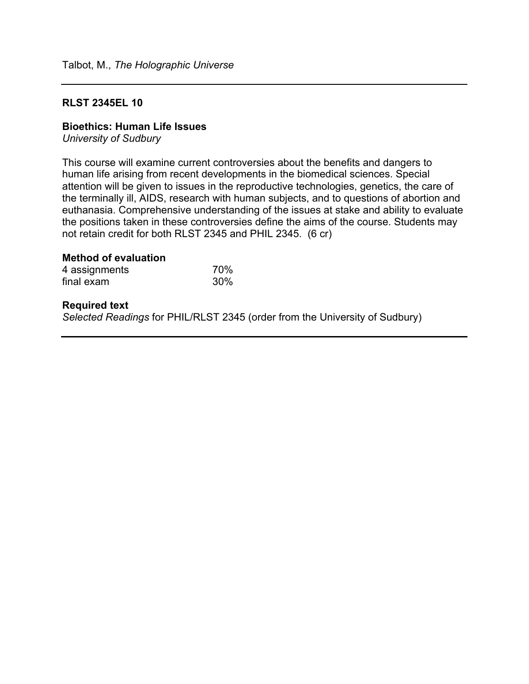### **RLST 2345EL 10**

#### **Bioethics: Human Life Issues**

*University of Sudbury*

This course will examine current controversies about the benefits and dangers to human life arising from recent developments in the biomedical sciences. Special attention will be given to issues in the reproductive technologies, genetics, the care of the terminally ill, AIDS, research with human subjects, and to questions of abortion and euthanasia. Comprehensive understanding of the issues at stake and ability to evaluate the positions taken in these controversies define the aims of the course. Students may not retain credit for both RLST 2345 and PHIL 2345. (6 cr)

# **Method of evaluation**

| 4 assignments | 70% |
|---------------|-----|
| final exam    | 30% |

#### **Required text**

*Selected Readings* for PHIL/RLST 2345 (order from the University of Sudbury)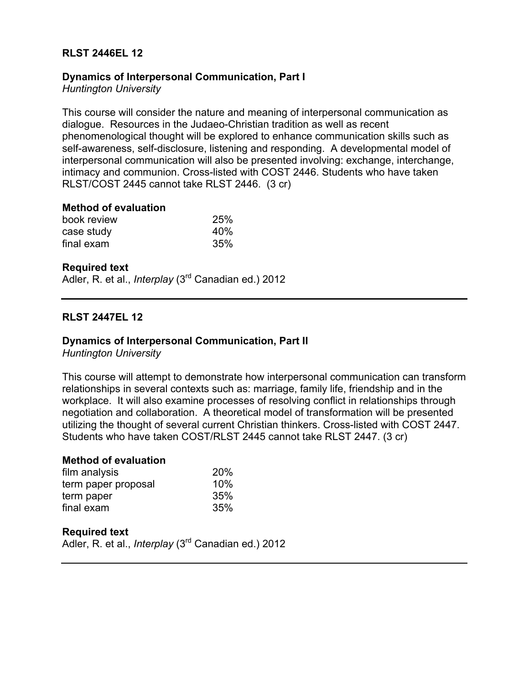# **RLST 2446EL 12**

# **Dynamics of Interpersonal Communication, Part I**

*Huntington University*

This course will consider the nature and meaning of interpersonal communication as dialogue. Resources in the Judaeo-Christian tradition as well as recent phenomenological thought will be explored to enhance communication skills such as self-awareness, self-disclosure, listening and responding. A developmental model of interpersonal communication will also be presented involving: exchange, interchange, intimacy and communion. Cross-listed with COST 2446. Students who have taken RLST/COST 2445 cannot take RLST 2446. (3 cr)

### **Method of evaluation**

| book review | 25% |
|-------------|-----|
| case study  | 40% |
| final exam  | 35% |

### **Required text**

Adler, R. et al., *Interplay* (3rd Canadian ed.) 2012

# **RLST 2447EL 12**

# **Dynamics of Interpersonal Communication, Part II**

*Huntington University*

This course will attempt to demonstrate how interpersonal communication can transform relationships in several contexts such as: marriage, family life, friendship and in the workplace. It will also examine processes of resolving conflict in relationships through negotiation and collaboration. A theoretical model of transformation will be presented utilizing the thought of several current Christian thinkers. Cross-listed with COST 2447. Students who have taken COST/RLST 2445 cannot take RLST 2447. (3 cr)

#### **Method of evaluation**

| <b>20%</b> |
|------------|
| 10%        |
| 35%        |
| 35%        |
|            |

# **Required text**

Adler, R. et al., *Interplay* (3rd Canadian ed.) 2012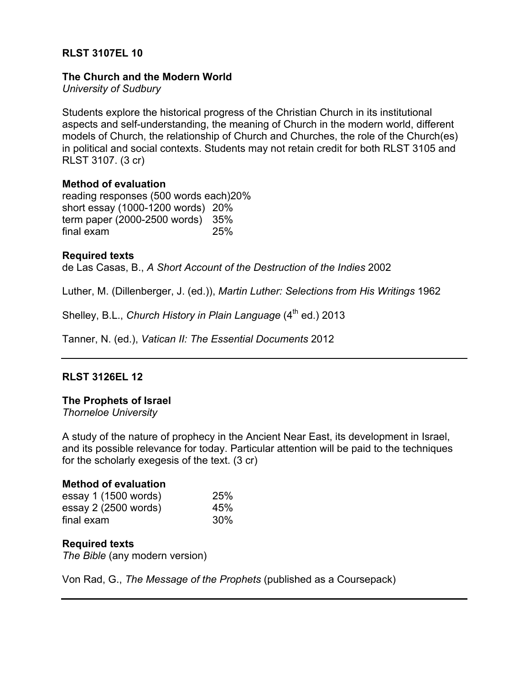# **RLST 3107EL 10**

### **The Church and the Modern World**

*University of Sudbury*

Students explore the historical progress of the Christian Church in its institutional aspects and self-understanding, the meaning of Church in the modern world, different models of Church, the relationship of Church and Churches, the role of the Church(es) in political and social contexts. Students may not retain credit for both RLST 3105 and RLST 3107. (3 cr)

### **Method of evaluation**

reading responses (500 words each)20% short essay (1000-1200 words) 20% term paper (2000-2500 words) 35% final exam 25%

### **Required texts**

de Las Casas, B., *A Short Account of the Destruction of the Indies* 2002

Luther, M. (Dillenberger, J. (ed.)), *Martin Luther: Selections from His Writings* 1962

Shelley, B.L., *Church History in Plain Language* (4<sup>th</sup> ed.) 2013

Tanner, N. (ed.), *Vatican II: The Essential Documents* 2012

# **RLST 3126EL 12**

# **The Prophets of Israel**

*Thorneloe University*

A study of the nature of prophecy in the Ancient Near East, its development in Israel, and its possible relevance for today. Particular attention will be paid to the techniques for the scholarly exegesis of the text. (3 cr)

# **Method of evaluation**

| essay 1 (1500 words) | 25% |
|----------------------|-----|
| essay 2 (2500 words) | 45% |
| final exam           | 30% |

# **Required texts**

*The Bible* (any modern version)

Von Rad, G., *The Message of the Prophets* (published as a Coursepack)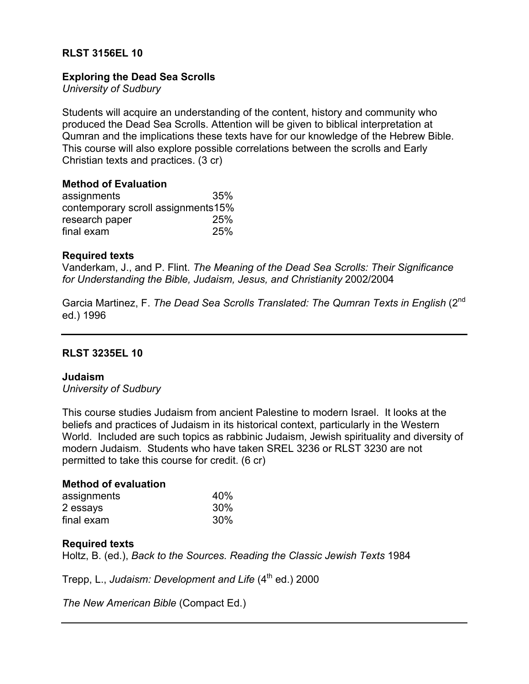# **RLST 3156EL 10**

# **Exploring the Dead Sea Scrolls**

*University of Sudbury*

Students will acquire an understanding of the content, history and community who produced the Dead Sea Scrolls. Attention will be given to biblical interpretation at Qumran and the implications these texts have for our knowledge of the Hebrew Bible. This course will also explore possible correlations between the scrolls and Early Christian texts and practices. (3 cr)

# **Method of Evaluation**

| assignments                        | 35%        |
|------------------------------------|------------|
| contemporary scroll assignments15% |            |
| research paper                     | <b>25%</b> |
| final exam                         | 25%        |

### **Required texts**

Vanderkam, J., and P. Flint. *The Meaning of the Dead Sea Scrolls: Their Significance for Understanding the Bible, Judaism, Jesus, and Christianity* 2002/2004

Garcia Martinez, F. *The Dead Sea Scrolls Translated: The Qumran Texts in English* (2nd ed.) 1996

# **RLST 3235EL 10**

#### **Judaism**

*University of Sudbury*

This course studies Judaism from ancient Palestine to modern Israel. It looks at the beliefs and practices of Judaism in its historical context, particularly in the Western World. Included are such topics as rabbinic Judaism, Jewish spirituality and diversity of modern Judaism. Students who have taken SREL 3236 or RLST 3230 are not permitted to take this course for credit. (6 cr)

#### **Method of evaluation**

| assignments | 40% |
|-------------|-----|
| 2 essays    | 30% |
| final exam  | 30% |

#### **Required texts**

Holtz, B. (ed.), *Back to the Sources. Reading the Classic Jewish Texts* 1984

Trepp, L., *Judaism: Development and Life* (4<sup>th</sup> ed.) 2000

*The New American Bible* (Compact Ed.)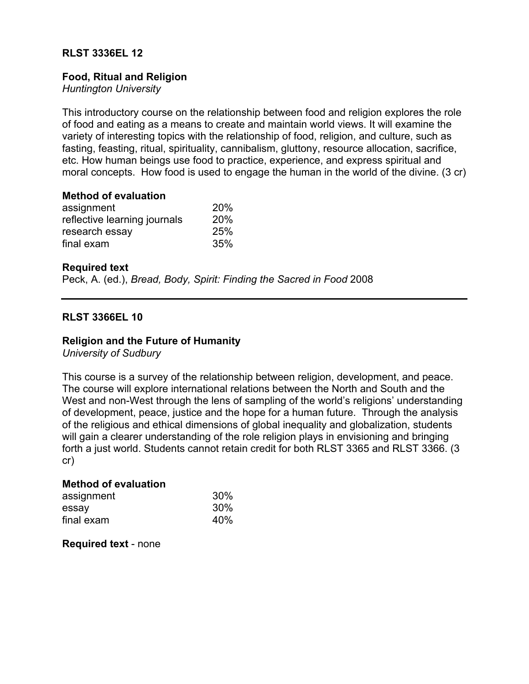# **RLST 3336EL 12**

### **Food, Ritual and Religion**

*Huntington University*

This introductory course on the relationship between food and religion explores the role of food and eating as a means to create and maintain world views. It will examine the variety of interesting topics with the relationship of food, religion, and culture, such as fasting, feasting, ritual, spirituality, cannibalism, gluttony, resource allocation, sacrifice, etc. How human beings use food to practice, experience, and express spiritual and moral concepts. How food is used to engage the human in the world of the divine. (3 cr)

#### **Method of evaluation**

| assignment                   | 20% |
|------------------------------|-----|
| reflective learning journals | 20% |
| research essay               | 25% |
| final exam                   | 35% |

### **Required text**

Peck, A. (ed.), *Bread, Body, Spirit: Finding the Sacred in Food* 2008

# **RLST 3366EL 10**

### **Religion and the Future of Humanity**

*University of Sudbury*

This course is a survey of the relationship between religion, development, and peace. The course will explore international relations between the North and South and the West and non-West through the lens of sampling of the world's religions' understanding of development, peace, justice and the hope for a human future. Through the analysis of the religious and ethical dimensions of global inequality and globalization, students will gain a clearer understanding of the role religion plays in envisioning and bringing forth a just world. Students cannot retain credit for both RLST 3365 and RLST 3366. (3 cr)

# **Method of evaluation**

| assignment | 30% |
|------------|-----|
| essay      | 30% |
| final exam | 40% |

**Required text** - none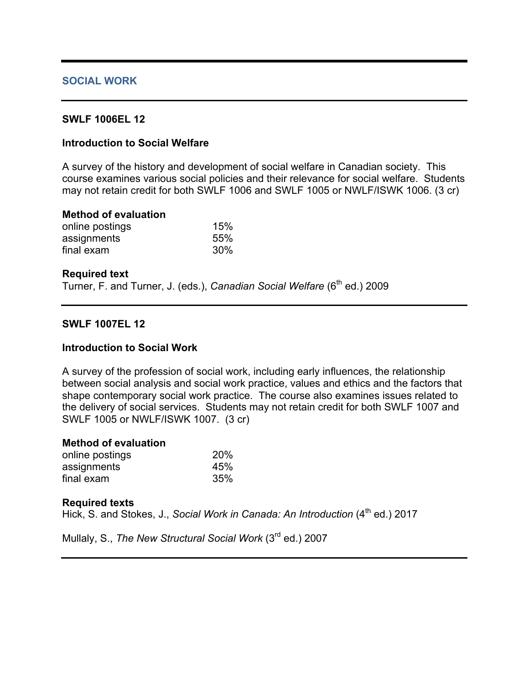### **SOCIAL WORK**

### **SWLF 1006EL 12**

# **Introduction to Social Welfare**

A survey of the history and development of social welfare in Canadian society. This course examines various social policies and their relevance for social welfare. Students may not retain credit for both SWLF 1006 and SWLF 1005 or NWLF/ISWK 1006. (3 cr)

#### **Method of evaluation**

| online postings | 15% |
|-----------------|-----|
| assignments     | 55% |
| final exam      | 30% |

#### **Required text**

Turner, F. and Turner, J. (eds.), *Canadian Social Welfare* (6<sup>th</sup> ed.) 2009

#### **SWLF 1007EL 12**

#### **Introduction to Social Work**

A survey of the profession of social work, including early influences, the relationship between social analysis and social work practice, values and ethics and the factors that shape contemporary social work practice. The course also examines issues related to the delivery of social services. Students may not retain credit for both SWLF 1007 and SWLF 1005 or NWLF/ISWK 1007. (3 cr)

| <b>Method of evaluation</b> |     |
|-----------------------------|-----|
| online postings             | 20% |
| assignments                 | 45% |
| final exam                  | 35% |

#### **Required texts**

Hick, S. and Stokes, J., *Social Work in Canada: An Introduction* (4<sup>th</sup> ed.) 2017

Mullaly, S., *The New Structural Social Work* (3rd ed.) 2007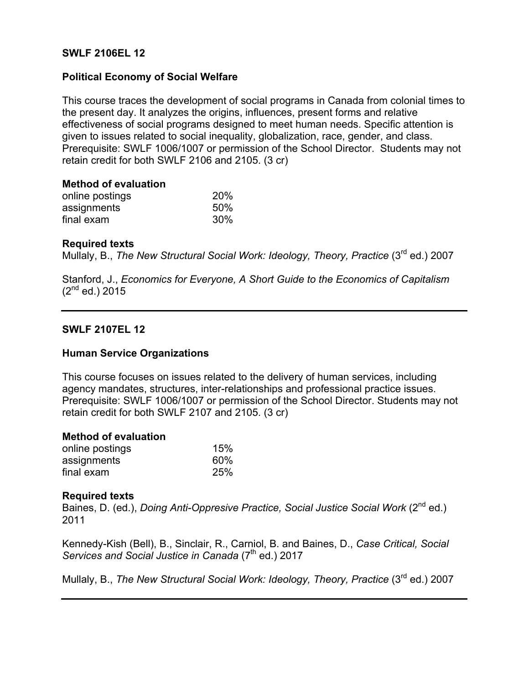### **SWLF 2106EL 12**

### **Political Economy of Social Welfare**

This course traces the development of social programs in Canada from colonial times to the present day. It analyzes the origins, influences, present forms and relative effectiveness of social programs designed to meet human needs. Specific attention is given to issues related to social inequality, globalization, race, gender, and class. Prerequisite: SWLF 1006/1007 or permission of the School Director. Students may not retain credit for both SWLF 2106 and 2105. (3 cr)

| <b>Method of evaluation</b> |  |
|-----------------------------|--|
| online nostings             |  |

| online postings | 20% |
|-----------------|-----|
| assignments     | 50% |
| final exam      | 30% |

#### **Required texts**

Mullaly, B., *The New Structural Social Work: Ideology, Theory, Practice* (3rd ed.) 2007

Stanford, J., *Economics for Everyone, A Short Guide to the Economics of Capitalism*  $(2^{nd}$  ed.) 2015

### **SWLF 2107EL 12**

#### **Human Service Organizations**

This course focuses on issues related to the delivery of human services, including agency mandates, structures, inter-relationships and professional practice issues. Prerequisite: SWLF 1006/1007 or permission of the School Director. Students may not retain credit for both SWLF 2107 and 2105. (3 cr)

#### **Method of evaluation**

| online postings | 15% |
|-----------------|-----|
| assignments     | 60% |
| final exam      | 25% |

#### **Required texts**

Baines, D. (ed.), *Doing Anti-Oppresive Practice, Social Justice Social Work* (2<sup>nd</sup> ed.) 2011

Kennedy-Kish (Bell), B., Sinclair, R., Carniol, B. and Baines, D., *Case Critical, Social Services and Social Justice in Canada* (7<sup>th</sup> ed.) 2017

Mullaly, B., *The New Structural Social Work: Ideology, Theory, Practice* (3rd ed.) 2007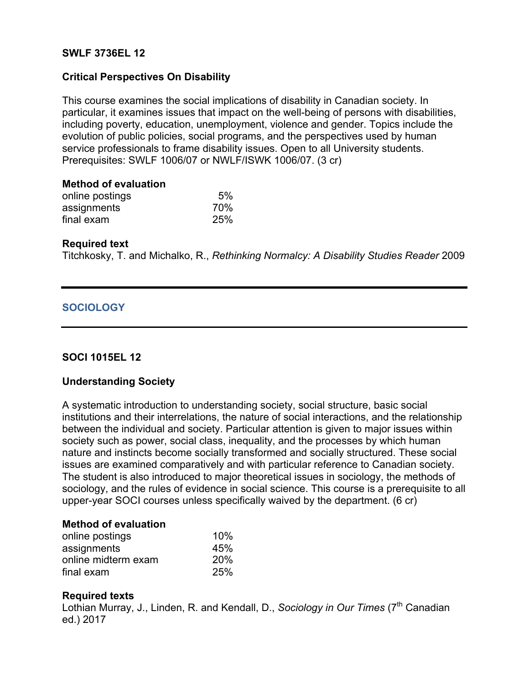### **SWLF 3736EL 12**

### **Critical Perspectives On Disability**

This course examines the social implications of disability in Canadian society. In particular, it examines issues that impact on the well-being of persons with disabilities, including poverty, education, unemployment, violence and gender. Topics include the evolution of public policies, social programs, and the perspectives used by human service professionals to frame disability issues. Open to all University students. Prerequisites: SWLF 1006/07 or NWLF/ISWK 1006/07. (3 cr)

| <b>Method of evaluation</b> |     |
|-----------------------------|-----|
| online postings             | 5%  |
| assignments                 | 70% |
| final exam                  | 25% |

#### **Required text**

Titchkosky, T. and Michalko, R., *Rethinking Normalcy: A Disability Studies Reader* 2009

### **SOCIOLOGY**

#### **SOCI 1015EL 12**

#### **Understanding Society**

A systematic introduction to understanding society, social structure, basic social institutions and their interrelations, the nature of social interactions, and the relationship between the individual and society. Particular attention is given to major issues within society such as power, social class, inequality, and the processes by which human nature and instincts become socially transformed and socially structured. These social issues are examined comparatively and with particular reference to Canadian society. The student is also introduced to major theoretical issues in sociology, the methods of sociology, and the rules of evidence in social science. This course is a prerequisite to all upper-year SOCI courses unless specifically waived by the department. (6 cr)

#### **Method of evaluation**

| online postings     | 10% |
|---------------------|-----|
| assignments         | 45% |
| online midterm exam | 20% |
| final exam          | 25% |

#### **Required texts**

Lothian Murray, J., Linden, R. and Kendall, D., *Sociology in Our Times* (7<sup>th</sup> Canadian ed.) 2017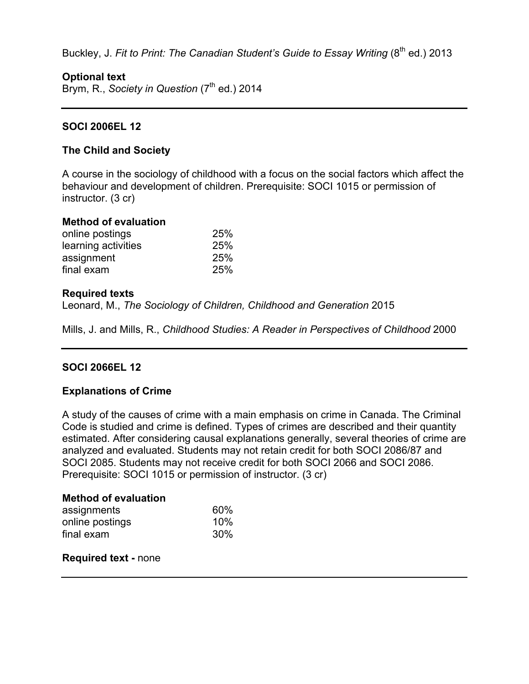Buckley, J. Fit to Print: The Canadian Student's Guide to Essay Writing (8<sup>th</sup> ed.) 2013

# **Optional text**

Brym, R., *Society in Question* (7<sup>th</sup> ed.) 2014

# **SOCI 2006EL 12**

# **The Child and Society**

A course in the sociology of childhood with a focus on the social factors which affect the behaviour and development of children. Prerequisite: SOCI 1015 or permission of instructor. (3 cr)

### **Method of evaluation**

| online postings     | 25% |
|---------------------|-----|
| learning activities | 25% |
| assignment          | 25% |
| final exam          | 25% |

### **Required texts**

Leonard, M., *The Sociology of Children, Childhood and Generation* 2015

Mills, J. and Mills, R., *Childhood Studies: A Reader in Perspectives of Childhood* 2000

# **SOCI 2066EL 12**

# **Explanations of Crime**

A study of the causes of crime with a main emphasis on crime in Canada. The Criminal Code is studied and crime is defined. Types of crimes are described and their quantity estimated. After considering causal explanations generally, several theories of crime are analyzed and evaluated. Students may not retain credit for both SOCI 2086/87 and SOCI 2085. Students may not receive credit for both SOCI 2066 and SOCI 2086. Prerequisite: SOCI 1015 or permission of instructor. (3 cr)

#### **Method of evaluation**

| assignments     | 60%    |  |
|-----------------|--------|--|
| online postings | $10\%$ |  |
| final exam      | 30%    |  |

#### **Required text -** none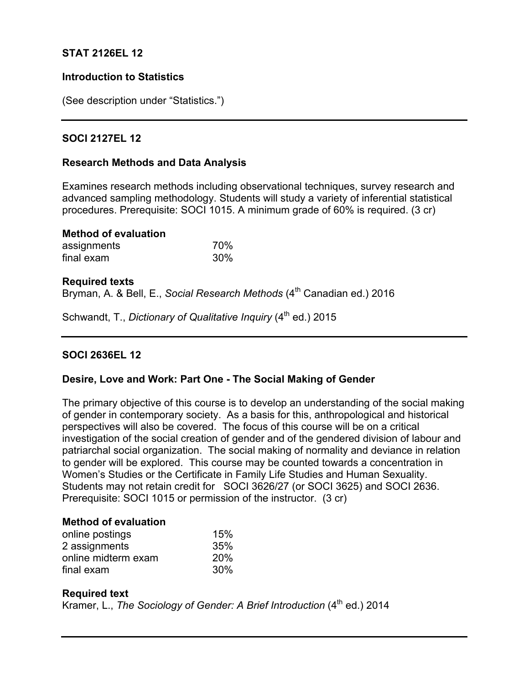# **STAT 2126EL 12**

### **Introduction to Statistics**

(See description under "Statistics.")

### **SOCI 2127EL 12**

### **Research Methods and Data Analysis**

Examines research methods including observational techniques, survey research and advanced sampling methodology. Students will study a variety of inferential statistical procedures. Prerequisite: SOCI 1015. A minimum grade of 60% is required. (3 cr)

| <b>Method of evaluation</b> |     |
|-----------------------------|-----|
| assignments                 | 70% |
| final exam                  | 30% |

#### **Required texts**

Bryman, A. & Bell, E., *Social Research Methods* (4<sup>th</sup> Canadian ed.) 2016

Schwandt, T., *Dictionary of Qualitative Inquiry* (4<sup>th</sup> ed.) 2015

# **SOCI 2636EL 12**

#### **Desire, Love and Work: Part One - The Social Making of Gender**

The primary objective of this course is to develop an understanding of the social making of gender in contemporary society. As a basis for this, anthropological and historical perspectives will also be covered. The focus of this course will be on a critical investigation of the social creation of gender and of the gendered division of labour and patriarchal social organization. The social making of normality and deviance in relation to gender will be explored. This course may be counted towards a concentration in Women's Studies or the Certificate in Family Life Studies and Human Sexuality. Students may not retain credit for SOCI 3626/27 (or SOCI 3625) and SOCI 2636. Prerequisite: SOCI 1015 or permission of the instructor. (3 cr)

#### **Method of evaluation**

| online postings     | 15% |
|---------------------|-----|
| 2 assignments       | 35% |
| online midterm exam | 20% |
| final exam          | 30% |

#### **Required text**

Kramer, L., *The Sociology of Gender: A Brief Introduction* (4<sup>th</sup> ed.) 2014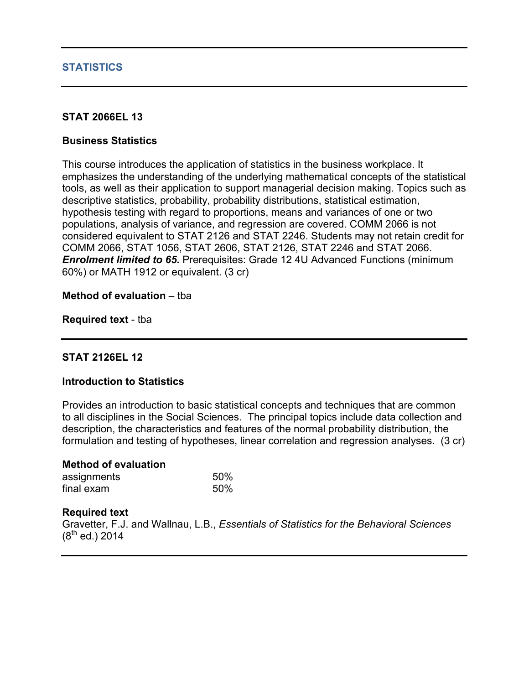### **STATISTICS**

### **STAT 2066EL 13**

### **Business Statistics**

This course introduces the application of statistics in the business workplace. It emphasizes the understanding of the underlying mathematical concepts of the statistical tools, as well as their application to support managerial decision making. Topics such as descriptive statistics, probability, probability distributions, statistical estimation, hypothesis testing with regard to proportions, means and variances of one or two populations, analysis of variance, and regression are covered. COMM 2066 is not considered equivalent to STAT 2126 and STAT 2246. Students may not retain credit for COMM 2066, STAT 1056, STAT 2606, STAT 2126, STAT 2246 and STAT 2066. *Enrolment limited to 65. Prerequisites: Grade 12 4U Advanced Functions (minimum***)** 60%) or MATH 1912 or equivalent. (3 cr)

#### **Method of evaluation** – tba

**Required text** - tba

# **STAT 2126EL 12**

#### **Introduction to Statistics**

Provides an introduction to basic statistical concepts and techniques that are common to all disciplines in the Social Sciences. The principal topics include data collection and description, the characteristics and features of the normal probability distribution, the formulation and testing of hypotheses, linear correlation and regression analyses. (3 cr)

| <b>Method of evaluation</b> |     |
|-----------------------------|-----|
| assignments                 | 50% |
| final exam                  | 50% |

#### **Required text**

Gravetter, F.J. and Wallnau, L.B., *Essentials of Statistics for the Behavioral Sciences*  $(8^{th}$  ed.) 2014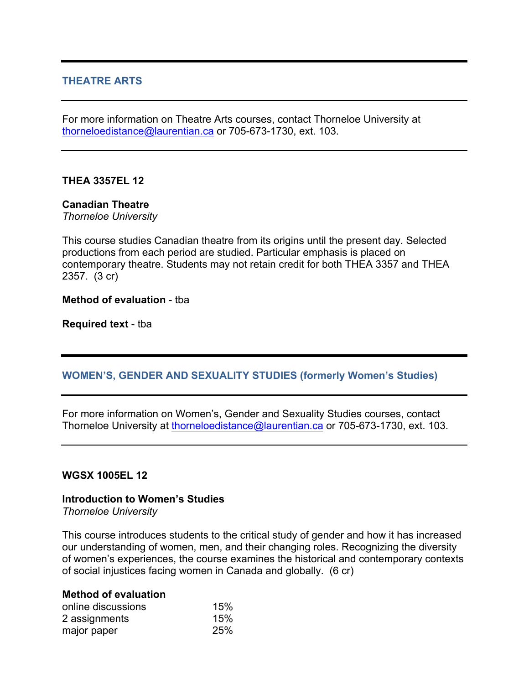# **THEATRE ARTS**

For more information on Theatre Arts courses, contact Thorneloe University at thorneloedistance@laurentian.ca or 705-673-1730, ext. 103.

# **THEA 3357EL 12**

### **Canadian Theatre**

*Thorneloe University*

This course studies Canadian theatre from its origins until the present day. Selected productions from each period are studied. Particular emphasis is placed on contemporary theatre. Students may not retain credit for both THEA 3357 and THEA 2357. (3 cr)

#### **Method of evaluation** - tba

**Required text** - tba

# **WOMEN'S, GENDER AND SEXUALITY STUDIES (formerly Women's Studies)**

For more information on Women's, Gender and Sexuality Studies courses, contact Thorneloe University at thorneloedistance@laurentian.ca or 705-673-1730, ext. 103.

#### **WGSX 1005EL 12**

# **Introduction to Women's Studies**

*Thorneloe University*

This course introduces students to the critical study of gender and how it has increased our understanding of women, men, and their changing roles. Recognizing the diversity of women's experiences, the course examines the historical and contemporary contexts of social injustices facing women in Canada and globally. (6 cr)

### **Method of evaluation**

| online discussions | 15% |
|--------------------|-----|
| 2 assignments      | 15% |
| major paper        | 25% |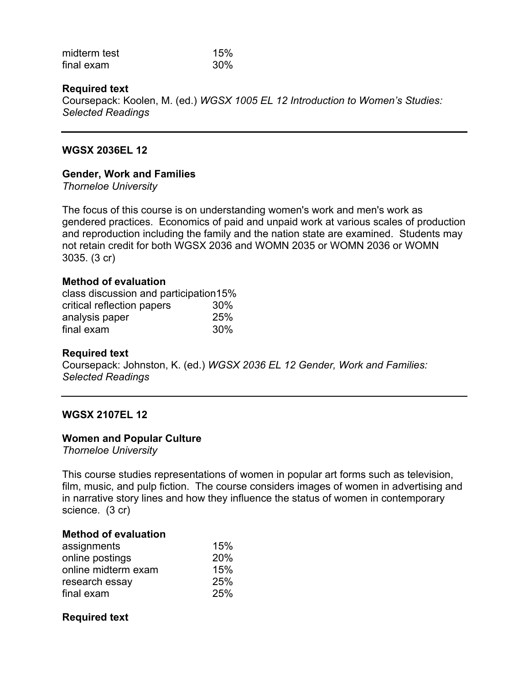| midterm test | 15% |
|--------------|-----|
| final exam   | 30% |

### **Required text**

Coursepack: Koolen, M. (ed.) *WGSX 1005 EL 12 Introduction to Women's Studies: Selected Readings*

#### **WGSX 2036EL 12**

#### **Gender, Work and Families**

*Thorneloe University*

The focus of this course is on understanding women's work and men's work as gendered practices. Economics of paid and unpaid work at various scales of production and reproduction including the family and the nation state are examined. Students may not retain credit for both WGSX 2036 and WOMN 2035 or WOMN 2036 or WOMN 3035. (3 cr)

#### **Method of evaluation**

class discussion and participation15% critical reflection papers 30% analysis paper 25% final exam 30%

#### **Required text**

Coursepack: Johnston, K. (ed.) *WGSX 2036 EL 12 Gender, Work and Families: Selected Readings*

#### **WGSX 2107EL 12**

#### **Women and Popular Culture**

*Thorneloe University*

This course studies representations of women in popular art forms such as television, film, music, and pulp fiction. The course considers images of women in advertising and in narrative story lines and how they influence the status of women in contemporary science. (3 cr)

#### **Method of evaluation**

| assignments         | 15% |
|---------------------|-----|
| online postings     | 20% |
| online midterm exam | 15% |
| research essay      | 25% |
| final exam          | 25% |

#### **Required text**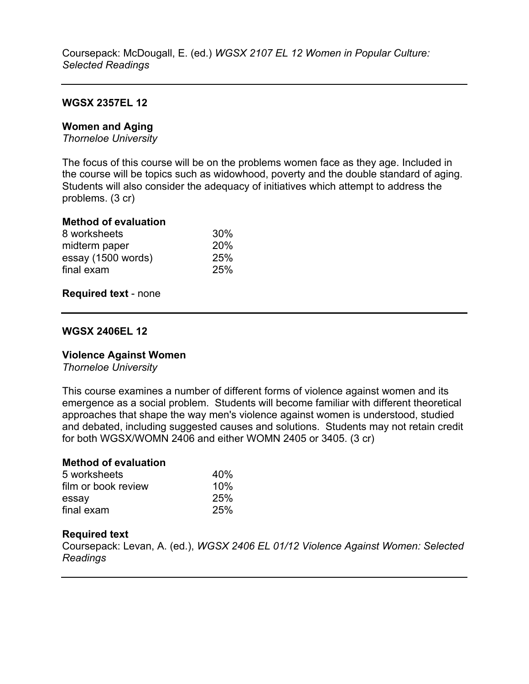### **WGSX 2357EL 12**

### **Women and Aging**

*Thorneloe University*

The focus of this course will be on the problems women face as they age. Included in the course will be topics such as widowhood, poverty and the double standard of aging. Students will also consider the adequacy of initiatives which attempt to address the problems. (3 cr)

#### **Method of evaluation**

| 8 worksheets       | 30% |
|--------------------|-----|
| midterm paper      | 20% |
| essay (1500 words) | 25% |
| final exam         | 25% |
|                    |     |

#### **Required text** - none

#### **WGSX 2406EL 12**

#### **Violence Against Women**

*Thorneloe University*

This course examines a number of different forms of violence against women and its emergence as a social problem. Students will become familiar with different theoretical approaches that shape the way men's violence against women is understood, studied and debated, including suggested causes and solutions. Students may not retain credit for both WGSX/WOMN 2406 and either WOMN 2405 or 3405. (3 cr)

# **Method of evaluation**

| 5 worksheets        | 40% |
|---------------------|-----|
| film or book review | 10% |
| essay               | 25% |
| final exam          | 25% |

#### **Required text**

Coursepack: Levan, A. (ed.), *WGSX 2406 EL 01/12 Violence Against Women: Selected Readings*